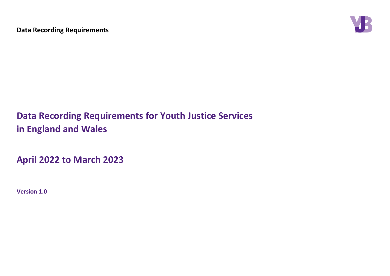

**Data Recording Requirements for Youth Justice Services in England and Wales**

**April 2022 to March 2023**

**Version 1.0**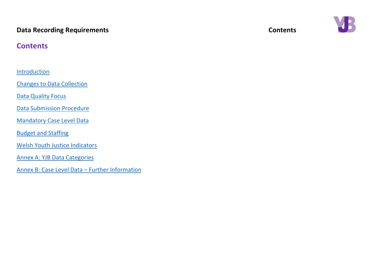## **Data Recording Requirements Contents Contents**

## **Contents**

**[Introduction](#page-2-0)** 

[Changes to Data Collection](#page-3-0)

**[Data Quality Focus](#page-4-0)** 

[Data Submission Procedure](#page-3-1)

[Mandatory Case Level Data](#page-7-0)

[Budget and Staffing](#page-18-0)

[Welsh Youth Justice Indicators](#page-25-0)

[Annex A: YJB Data Categories](#page-36-0)

[Annex B: Case Level Data](#page-42-0) – Further Information

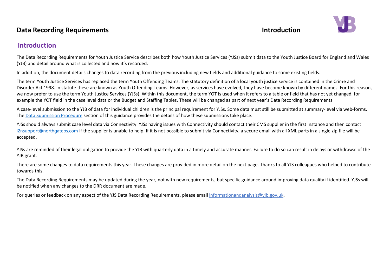## **Data Recording Requirements Introduction**



## <span id="page-2-0"></span>**Introduction**

The Data Recording Requirements for Youth Justice Service describes both how Youth Justice Services (YJSs) submit data to the Youth Justice Board for England and Wales (YJB) and detail around what is collected and how it's recorded.

In addition, the document details changes to data recording from the previous including new fields and additional guidance to some existing fields.

The term Youth Justice Services has replaced the term Youth Offending Teams. The statutory definition of a local youth justice service is contained in the Crime and Disorder Act 1998. In statute these are known as Youth Offending Teams. However, as services have evolved, they have become known by different names. For this reason, we now prefer to use the term Youth Justice Services (YJSs). Within this document, the term YOT is used when it refers to a table or field that has not yet changed, for example the YOT field in the case level data or the Budget and Staffing Tables. These will be changed as part of next year's Data Recording Requirements.

A case-level submission to the YJB of data for individual children is the principal requirement for YJSs. Some data must still be submitted at summary-level via web-forms. The [Data Submission Procedure](#page-3-1) section of this guidance provides the details of how these submissions take place.

YJSs should always submit case level data via Connectivity. YJSs having issues with Connectivity should contact their CMS supplier in the first instance and then contact [i2nsupport@northgateps.com](mailto:i2nsupport@northgateps.com) if the supplier is unable to help. If it is not possible to submit via Connectivity, a secure email with all XML parts in a single zip file will be accepted.

YJSs are reminded of their legal obligation to provide the YJB with quarterly data in a timely and accurate manner. Failure to do so can result in delays or withdrawal of the YJB grant.

There are some changes to data requirements this year. These changes are provided in more detail on the next page. Thanks to all YJS colleagues who helped to contribute towards this.

The Data Recording Requirements may be updated during the year, not with new requirements, but specific guidance around improving data quality if identified. YJSs will be notified when any changes to the DRR document are made.

For queries or feedback on any aspect of the YJS Data Recording Requirements, please email informationandanalysis@yib.gov.uk.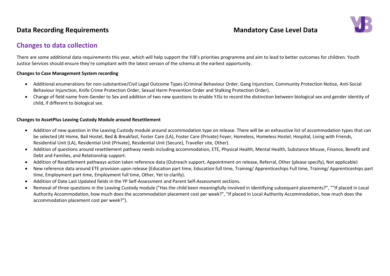

## <span id="page-3-0"></span>**Changes to data collection**

There are some additional data requirements this year, which will help support the YJB's priorities programme and aim to lead to better outcomes for children. Youth Justice Services should ensure they're compliant with the latest version of the schema at the earliest opportunity.

### <span id="page-3-1"></span>**Changes to Case Management System recording**

- Additional enumerations for non-substantive/Civil Legal Outcome Types (Criminal Behaviour Order, Gang Injunction, Community Protection Notice, Anti-Social Behaviour Injunction, Knife Crime Protection Order, Sexual Harm Prevention Order and Stalking Protection Order).
- Change of field name from Gender to Sex and addition of two new questions to enable YJSs to record the distinction between biological sex and gender identity of child, if different to biological sex.

### **Changes to AssetPlus Leaving Custody Module around Resettlement**

- Addition of new question in the Leaving Custody module around accommodation type on release. There will be an exhaustive list of accommodation types that can be selected (At Home, Bail Hostel, Bed & Breakfast, Foster Care (LA), Foster Care (Private) Foyer, Homeless, Homeless Hostel, Hospital, Living with Friends, Residential Unit (LA), Residential Unit (Private), Residential Unit (Secure), Traveller site, Other).
- Addition of questions around resettlement pathway needs including accommodation, ETE, Physical Health, Mental Health, Substance Misuse, Finance, Benefit and Debt and Families, and Relationship support.
- Addition of Resettlement pathways action taken reference data (Outreach support, Appointment on release, Referral, Other (please specify), Not applicable)
- New reference data around ETE provision upon release (Education part time, Education full time, Training/ Apprenticeships Full time, Training/ Apprenticeships part time, Employment part time, Employment full time, Other, Yet to clarify).
- Addition of Date Last Updated fields in the YP Self-Assessment and Parent Self-Assessment sections.
- Removal of three questions in the Leaving Custody module ("Has the child been meaningfully involved in identifying subsequent placements?", ""If placed in Local Authority Accommodation, how much does the accommodation placement cost per week?", "If placed in Local Authority Accommodation, how much does the accommodation placement cost per week?").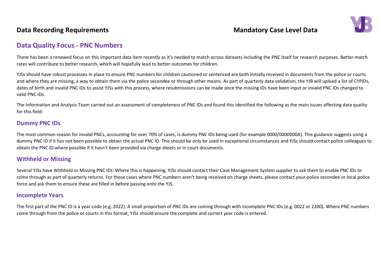

## <span id="page-4-0"></span>**Data Quality Focus - PNC Numbers**

There has been a renewed focus on this important data item recently as it's needed to match across datasets including the PNC itself for research purposes. Better match rates will contribute to better research, which will hopefully lead to better outcomes for children.

YJSs should have robust processes in place to ensure PNC numbers for children cautioned or sentenced are both initially received in documents from the police or courts and where they are missing, a way to obtain them via the police secondee or through other means. As part of quarterly data validation, the YJB will upload a list of CYPIDs, dates of birth and invalid PNC IDs to assist YJSs with this process, where resubmissions can be made once the missing IDs have been input or invalid PNC IDs changed to valid PNC IDs.

The Information and Analysis Team carried out an assessment of completeness of PNC IDs and found this identified the following as the main issues affecting data quality for this field:

### **Dummy PNC IDs**

The most common reason for invalid PNCs, accounting for over 70% of cases, is dummy PNC IDs being used (for example 0000/0000000A). This guidance suggests using a dummy PNC ID if it has not been possible to obtain the actual PNC ID. This should be only be used in exceptional circumstances and YJSs should contact police colleagues to obtain the PNC ID where possible if it hasn't been provided via charge sheets or in court documents.

### **Withheld or Missing**

Several YJSs have Withheld or Missing PNC IDs. Where this is happening, YJSs should contact their Case Management System supplier to ask them to enable PNC IDs to come through as part of quarterly returns. For those cases where PNC numbers aren't being received on charge sheets, please contact your police secondee or local police force and ask them to ensure these are filled in before passing onto the YJS.

### **Incomplete Years**

The first part of the PNC ID is a year code (e.g. 2022). A small proportion of PNC IDs are coming through with incomplete PNC IDs (e.g. 0022 or 2200). Where PNC numbers come through from the police or courts in this format, YJSs should ensure the complete and correct year code is entered.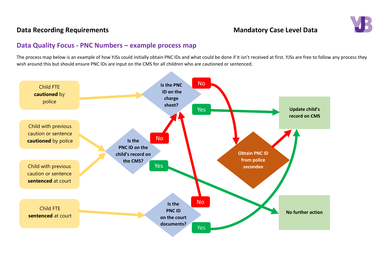

## **Data Quality Focus - PNC Numbers – example process map**

The process map below is an example of how YJSs could initially obtain PNC IDs and what could be done if it isn't received at first. YJSs are free to follow any process they wish around this but should ensure PNC IDs are input on the CMS for all children who are cautioned or sentenced.

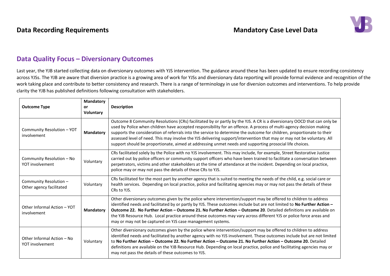

## **Data Quality Focus – Diversionary Outcomes**

Last year, the YJB started collecting data on diversionary outcomes with YJS intervention. The guidance around these has been updated to ensure recording consistency across YJSs. The YJB are aware that diversion practice is a growing area of work for YJSs and diversionary data reporting will provide formal evidence and recognition of the work taking place and contribute to better consistency and research. There is a range of terminology in use for diversion outcomes and interventions. To help provide clarity the YJB has published definitions following consultation with stakeholders.

| <b>Outcome Type</b>                                | Mandatory<br><b>or</b><br><b>Voluntary</b> | <b>Description</b>                                                                                                                                                                                                                                                                                                                                                                                                                                                                                                                                                                                            |
|----------------------------------------------------|--------------------------------------------|---------------------------------------------------------------------------------------------------------------------------------------------------------------------------------------------------------------------------------------------------------------------------------------------------------------------------------------------------------------------------------------------------------------------------------------------------------------------------------------------------------------------------------------------------------------------------------------------------------------|
| Community Resolution - YOT<br>involvement          | <b>Mandatory</b>                           | Outcome 8 Community Resolutions (CRs) facilitated by or partly by the YJS. A CR is a diversionary OOCD that can only be<br>used by Police when children have accepted responsibility for an offence. A process of multi-agency decision making<br>supports the consideration of referrals into the service to determine the outcome for children, proportionate to their<br>assessed level of need. This may involve the YJS delivering support/intervention that may or may not be voluntary. All<br>support should be proportionate, aimed at addressing unmet needs and supporting prosocial life choices. |
| Community Resolution - No<br>YOT involvement       | Voluntary                                  | CRs facilitated solely by the Police with no YJS involvement. This may include, for example, Street Restorative Justice<br>carried out by police officers or community support officers who have been trained to facilitate a conversation between<br>perpetrators, victims and other stakeholders at the time of attendance at the incident. Depending on local practice,<br>police may or may not pass the details of these CRs to YJS.                                                                                                                                                                     |
| Community Resolution -<br>Other agency facilitated | Voluntary                                  | CRs facilitated for the most part by another agency that is suited to meeting the needs of the child, e.g. social care or<br>health services. Depending on local practice, police and facilitating agencies may or may not pass the details of these<br>CRs to YJS.                                                                                                                                                                                                                                                                                                                                           |
| Other Informal Action - YOT<br>involvement         | <b>Mandatory</b>                           | Other diversionary outcomes given by the police where intervention/support may be offered to children to address<br>identified needs and facilitated by or partly by YJS. These outcomes include but are not limited to No Further Action -<br>Outcome 22. No Further Action - Outcome 21. No Further Action - Outcome 20. Detailed definitions are available on<br>the YJB Resource Hub. Local practice around these outcomes may vary across different YJS or police force areas and<br>may or may not be captured on YJS case management systems.                                                          |
| Other Informal Action – No<br>YOT involvement      | Voluntary                                  | Other diversionary outcomes given by the police where intervention/support may be offered to children to address<br>identified needs and facilitated by another agency with no YJS involvement. These outcomes include but are not limited<br>to No Further Action – Outcome 22. No Further Action – Outcome 21. No Further Action – Outcome 20. Detailed<br>definitions are available on the YJB Resource Hub. Depending on local practice, police and facilitating agencies may or<br>may not pass the details of these outcomes to YJS.                                                                    |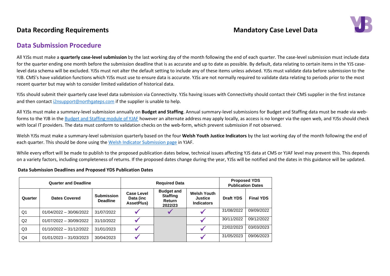

### **Data Submission Procedure**

All YJSs must make a **quarterly case-level submission** by the last working day of the month following the end of each quarter. The case-level submission must include data for the quarter ending one month before the submission deadline that is as accurate and up to date as possible. By default, data relating to certain items in the YJS caselevel data schema will be excluded. YJSs must not alter the default setting to include any of these items unless advised. YJSs must validate data before submission to the YJB. CMS's have validation functions which YJSs must use to ensure data is accurate. YJSs are not normally required to validate data relating to periods prior to the most recent quarter but may wish to consider limited validation of historical data.

YJSs should submit their quarterly case level data submission via Connectivity. YJSs having issues with Connectivity should contact their CMS supplier in the first instance and then contact [i2nsupport@northgateps.com](mailto:i2nsupport@northgateps.com) if the supplier is unable to help.

All YJSs must make a summary-level submission annually on **Budget and Staffing**. Annual summary-level submissions for Budget and Staffing data must be made via web-forms to the YJB in the [Budget and Staffing module of YJAF](https://yjbservices.yjb.gsi.gov.uk/secure/bands/#/upload) however an alternate address may apply locally, as access is no longer via the open web, and YJSs should check with local IT providers. The data must conform to validation checks on the web-form, which prevent submission if not observed.

Welsh YJSs must make a summary-level submission quarterly based on the four **Welsh Youth Justice Indicators** by the last working day of the month following the end of each quarter. This should be done using the [Welsh Indicator Submission page](https://yjbservices.yjb.gsi.gov.uk/Indicators/WelshIndicatorPeriods) in YJAF.

While every effort will be made to publish to the proposed publication dates below, technical issues affecting YJS data at CMS or YJAF level may prevent this. This depends on a variety factors, including completeness of returns. If the proposed dates change during the year, YJSs will be notified and the dates in this guidance will be updated.

**Data Submission Deadlines and Proposed YDS Publication Dates**

<span id="page-7-0"></span>

| <b>Quarter and Deadline</b> |                           |                                      |                                                     | <b>Required Data</b>                                             | <b>Proposed YDS</b><br><b>Publication Dates</b>           |                  |                  |
|-----------------------------|---------------------------|--------------------------------------|-----------------------------------------------------|------------------------------------------------------------------|-----------------------------------------------------------|------------------|------------------|
| Quarter                     | <b>Dates Covered</b>      | <b>Submission</b><br><b>Deadline</b> | <b>Case Level</b><br>Data (inc<br><b>AssetPlus)</b> | <b>Budget and</b><br><b>Staffing</b><br><b>Return</b><br>2022/23 | <b>Welsh Youth</b><br><b>Justice</b><br><b>Indicators</b> | <b>Draft YDS</b> | <b>Final YDS</b> |
| Q1                          | $01/04/2022 - 30/06/2022$ | 31/07/2022                           |                                                     |                                                                  |                                                           | 31/08/2022       | 09/09/2022       |
| Q <sub>2</sub>              | 01/07/2022 - 30/09/2022   | 31/10/2022                           |                                                     |                                                                  |                                                           | 30/11/2022       | 09/12/2022       |
| Q3                          | $01/10/2022 - 31/12/2022$ | 31/01/2023                           |                                                     |                                                                  |                                                           | 22/02/2023       | 03/03/2023       |
| Q4                          | 01/01/2023 - 31/03/2023   | 30/04/2023                           |                                                     |                                                                  |                                                           | 31/05/2023       | 09/06/2023       |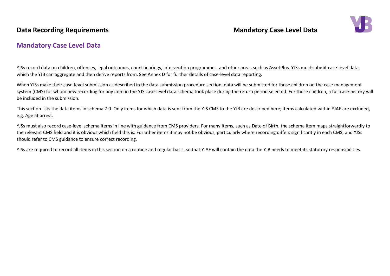

## **Mandatory Case Level Data**

YJSs record data on children, offences, legal outcomes, court hearings, intervention programmes, and other areas such as AssetPlus. YJSs must submit case-level data, which the YJB can aggregate and then derive reports from. See Annex D for further details of case-level data reporting.

When YJSs make their case-level submission as described in the data submission procedure section, data will be submitted for those children on the case management system (CMS) for whom new recording for any item in the YJS case-level data schema took place during the return period selected. For these children, a full case-history will be included in the submission.

This section lists the data items in schema 7.0. Only items for which data is sent from the YJS CMS to the YJB are described here; items calculated within YJAF are excluded, e.g. Age at arrest.

YJSs must also record case-level schema items in line with guidance from CMS providers. For many items, such as Date of Birth, the schema item maps straightforwardly to the relevant CMS field and it is obvious which field this is. For other items it may not be obvious, particularly where recording differs significantly in each CMS, and YJSs should refer to CMS guidance to ensure correct recording.

YJSs are required to record all items in this section on a routine and regular basis, so that YJAF will contain the data the YJB needs to meet its statutory responsibilities.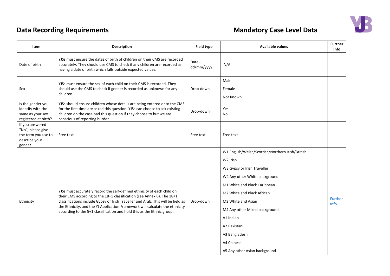

| Item                                                                                    | <b>Description</b>                                                                                                                                                                                                                                                                                                                                                                             | Field type           | <b>Available values</b>                                                                                                                                                                                                                                                                                                                                     | <b>Further</b><br>Info        |
|-----------------------------------------------------------------------------------------|------------------------------------------------------------------------------------------------------------------------------------------------------------------------------------------------------------------------------------------------------------------------------------------------------------------------------------------------------------------------------------------------|----------------------|-------------------------------------------------------------------------------------------------------------------------------------------------------------------------------------------------------------------------------------------------------------------------------------------------------------------------------------------------------------|-------------------------------|
| Date of birth                                                                           | YJSs must ensure the dates of birth of children on their CMS are recorded<br>accurately. They should use CMS to check if any children are recorded as<br>having a date of birth which falls outside expected values.                                                                                                                                                                           | Date -<br>dd/mm/yyyy | N/A                                                                                                                                                                                                                                                                                                                                                         |                               |
| Sex                                                                                     | YJSs must ensure the sex of each child on their CMS is recorded. They<br>should use the CMS to check if gender is recorded as unknown for any<br>children.                                                                                                                                                                                                                                     | Drop-down            | Male<br>Female<br>Not Known                                                                                                                                                                                                                                                                                                                                 |                               |
| Is the gender you<br>identify with the<br>same as your sex<br>registered at birth?      | YJSs should ensure children whose details are being entered onto the CMS<br>for the first time are asked this question. YJSs can choose to ask existing<br>children on the caseload this question if they choose to but we are<br>conscious of reporting burden                                                                                                                                | Drop-down            | Yes<br>No                                                                                                                                                                                                                                                                                                                                                   |                               |
| If you answered<br>"No", please give<br>the term you use to<br>describe your<br>gender. | Free text                                                                                                                                                                                                                                                                                                                                                                                      | Free text            | Free text                                                                                                                                                                                                                                                                                                                                                   |                               |
| Ethnicity                                                                               | YJSs must accurately record the self-defined ethnicity of each child on<br>their CMS according to the 18+1 classification (see Annex B). The 18+1<br>classifications include Gypsy or Irish Traveller and Arab. This will be held as<br>the Ethnicity, and the YJ Application Framework will calculate the ethnicity<br>according to the 5+1 classification and hold this as the Ethnic group. | Drop-down            | W1 English/Welsh/Scottish/Northern Irish/British<br>W <sub>2</sub> Irish<br>W3 Gypsy or Irish Traveller<br>W4 Any other White background<br>M1 White and Black Caribbean<br>M2 White and Black African<br>M3 White and Asian<br>M4 Any other Mixed background<br>A1 Indian<br>A2 Pakistani<br>A3 Bangladeshi<br>A4 Chinese<br>A5 Any other Asian background | <b>Further</b><br><b>Info</b> |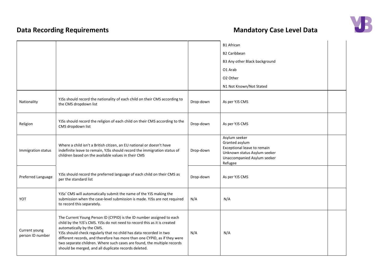

|                                   |                                                                                                                                                                                                                                                                                                                                                                                                                                                                      |           | <b>B1 African</b>                                                                                                                        |  |
|-----------------------------------|----------------------------------------------------------------------------------------------------------------------------------------------------------------------------------------------------------------------------------------------------------------------------------------------------------------------------------------------------------------------------------------------------------------------------------------------------------------------|-----------|------------------------------------------------------------------------------------------------------------------------------------------|--|
|                                   |                                                                                                                                                                                                                                                                                                                                                                                                                                                                      |           | <b>B2 Caribbean</b>                                                                                                                      |  |
|                                   |                                                                                                                                                                                                                                                                                                                                                                                                                                                                      |           | B3 Any other Black background                                                                                                            |  |
|                                   |                                                                                                                                                                                                                                                                                                                                                                                                                                                                      |           | O1 Arab                                                                                                                                  |  |
|                                   |                                                                                                                                                                                                                                                                                                                                                                                                                                                                      |           | O2 Other                                                                                                                                 |  |
|                                   |                                                                                                                                                                                                                                                                                                                                                                                                                                                                      |           | N1 Not Known/Not Stated                                                                                                                  |  |
| Nationality                       | YJSs should record the nationality of each child on their CMS according to<br>the CMS dropdown list                                                                                                                                                                                                                                                                                                                                                                  | Drop-down | As per YJS CMS                                                                                                                           |  |
| Religion                          | YJSs should record the religion of each child on their CMS according to the<br>CMS dropdown list                                                                                                                                                                                                                                                                                                                                                                     | Drop-down | As per YJS CMS                                                                                                                           |  |
| Immigration status                | Where a child isn't a British citizen, an EU national or doesn't have<br>indefinite leave to remain, YJSs should record the immigration status of<br>children based on the available values in their CMS                                                                                                                                                                                                                                                             | Drop-down | Asylum seeker<br>Granted asylum<br>Exceptional leave to remain<br>Unknown status Asylum seeker<br>Unaccompanied Asylum seeker<br>Refugee |  |
| Preferred Language                | YJSs should record the preferred language of each child on their CMS as<br>per the standard list                                                                                                                                                                                                                                                                                                                                                                     | Drop-down | As per YJS CMS                                                                                                                           |  |
| YOT                               | YJSs' CMS will automatically submit the name of the YJS making the<br>submission when the case-level submission is made. YJSs are not required<br>to record this separately.                                                                                                                                                                                                                                                                                         | N/A       | N/A                                                                                                                                      |  |
| Current young<br>person ID number | The Current Young Person ID (CYPID) is the ID number assigned to each<br>child by the YJS's CMS. YJSs do not need to record this as it is created<br>automatically by the CMS.<br>YJSs should check regularly that no child has data recorded in two<br>different records, and therefore has more than one CYPID, as if they were<br>two separate children. Where such cases are found, the multiple records<br>should be merged, and all duplicate records deleted. | N/A       | N/A                                                                                                                                      |  |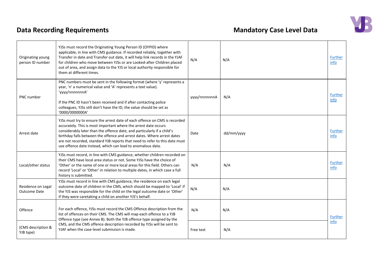

| Originating young<br>person ID number | YJSs must record the Originating Young Person ID (OYPID) where<br>applicable, in line with CMS guidance. If recorded reliably, together with<br>Transfer in date and Transfer out date, it will help link records in the YJAF<br>for children who move between YJSs or are Looked-after Children placed<br>out of area, and assign data to the YJS or local authority responsible for<br>them at different times.                                 | N/A           | N/A        | <b>Further</b><br>info |
|---------------------------------------|---------------------------------------------------------------------------------------------------------------------------------------------------------------------------------------------------------------------------------------------------------------------------------------------------------------------------------------------------------------------------------------------------------------------------------------------------|---------------|------------|------------------------|
| PNC number                            | PNC numbers must be sent in the following format (where 'y' represents a<br>year, 'n' a numerical value and 'A' represents a text value).<br>'yyyy/nnnnnnnA'<br>If the PNC ID hasn't been received and if after contacting police<br>colleagues, YJSs still don't have the ID, the value should be set as<br>'0000/0000000A'                                                                                                                      | yyyy/nnnnnnnA | N/A        | Further<br>info        |
| Arrest date                           | YJSs must try to ensure the arrest date of each offence on CMS is recorded<br>accurately. This is most important where the arrest date occurs<br>considerably later than the offence date, and particularly if a child's<br>birthday falls between the offence and arrest dates. Where arrest dates<br>are not recorded, standard YJB reports that need to refer to this date must<br>use offence date instead, which can lead to anomalous data. | Date          | dd/mm/yyyy | <b>Further</b><br>info |
| Local/other status                    | YJSs must record, in line with CMS guidance, whether children recorded on<br>their CMS have local area status or not. Some YJSs have the choice of<br>'Other' or the name of one or more local areas for this field. Others can<br>record 'Local' or 'Other' in relation to multiple dates, in which case a full<br>history is submitted.                                                                                                         | N/A           | N/A        | Further<br>info        |
| Residence on Legal<br>Outcome Date    | YJSs must record in line with CMS guidance, the residence on each legal<br>outcome date of children in the CMS, which should be mapped to 'Local' if<br>the YJS was responsible for the child on the legal outcome date or 'Other'<br>if they were caretaking a child on another YJS's behalf.                                                                                                                                                    | N/A           | N/A        |                        |
| Offence                               | For each offence, YJSs must record the CMS Offence description from the<br>list of offences on their CMS. The CMS will map each offence to a YJB<br>Offence type (see Annex B). Both the YJB offence type assigned by the                                                                                                                                                                                                                         | N/A           | N/A        | Further                |
| (CMS description &<br>YJB type)       | CMS, and the CMS offence description recorded by YJSs will be sent to<br>YJAF when the case-level submission is made.                                                                                                                                                                                                                                                                                                                             | Free text     | N/A        | info                   |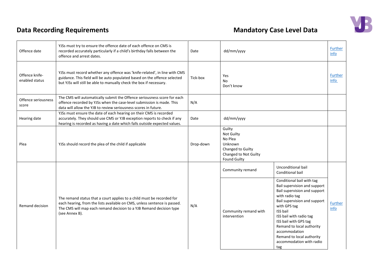

| Offence date                     | YJSs must try to ensure the offence date of each offence on CMS is<br>recorded accurately particularly if a child's birthday falls between the<br>offence and arrest dates.                                                                  | Date      | dd/mm/yyyy                                                                                                      |                                                                                                                                                                                                                                                                                                                                                  | Further<br>info        |
|----------------------------------|----------------------------------------------------------------------------------------------------------------------------------------------------------------------------------------------------------------------------------------------|-----------|-----------------------------------------------------------------------------------------------------------------|--------------------------------------------------------------------------------------------------------------------------------------------------------------------------------------------------------------------------------------------------------------------------------------------------------------------------------------------------|------------------------|
| Offence knife-<br>enabled status | YJSs must record whether any offence was 'knife-related', in line with CMS<br>guidance. This field will be auto populated based on the offence selected<br>but YJSs will still be able to manually check the box if necessary.               | Tick-box  | Yes<br>No<br>Don't know                                                                                         |                                                                                                                                                                                                                                                                                                                                                  | Further<br>info        |
| Offence seriousness<br>score     | The CMS will automatically submit the Offence seriousness score for each<br>offence recorded by YJSs when the case-level submission is made. This<br>data will allow the YJB to review seriousness scores in future.                         | N/A       |                                                                                                                 |                                                                                                                                                                                                                                                                                                                                                  |                        |
| Hearing date                     | YJSs must ensure the date of each hearing on their CMS is recorded<br>accurately. They should use CMS or YJB exception reports to check if any<br>hearing is recorded as having a date which falls outside expected values.                  | Date      | dd/mm/yyyy                                                                                                      |                                                                                                                                                                                                                                                                                                                                                  |                        |
| Plea                             | YJSs should record the plea of the child if applicable                                                                                                                                                                                       | Drop-down | Guilty<br>Not Guilty<br>No Plea<br>Unknown<br>Changed to Guilty<br>Changed to Not Guilty<br><b>Found Guilty</b> |                                                                                                                                                                                                                                                                                                                                                  |                        |
|                                  |                                                                                                                                                                                                                                              |           | Community remand                                                                                                | Unconditional bail<br>Conditional bail                                                                                                                                                                                                                                                                                                           |                        |
| Remand decision                  | The remand status that a court applies to a child must be recorded for<br>each hearing, from the lists available on CMS, unless sentence is passed.<br>The CMS will map each remand decision to a YJB Remand decision type<br>(see Annex B). | N/A       | Community remand with<br>intervention                                                                           | Conditional bail with tag<br>Bail supervision and support<br>Bail supervision and support<br>with radio tag<br>Bail supervision and support<br>with GPS tag<br><b>ISS bail</b><br>ISS bail with radio tag<br>ISS bail with GPS tag<br>Remand to local authority<br>accommodation<br>Remand to local authority<br>accommodation with radio<br>tag | <b>Further</b><br>info |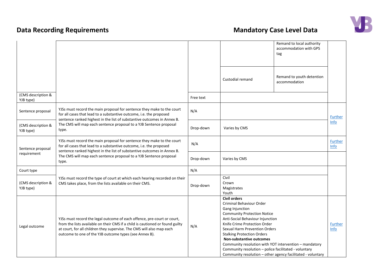

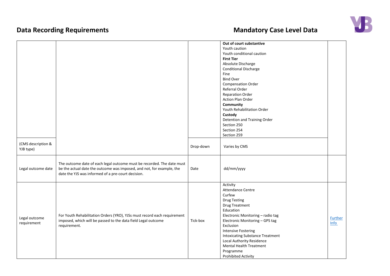| (CMS description &<br>YJB type) |                                                                                                                                                                                                       | Drop-down | Out of court substantive<br>Youth caution<br>Youth conditional caution<br><b>First Tier</b><br>Absolute Discharge<br><b>Conditional Discharge</b><br>Fine<br><b>Bind Over</b><br><b>Compensation Order</b><br>Referral Order<br><b>Reparation Order</b><br>Action Plan Order<br>Community<br>Youth Rehabilitation Order<br>Custody<br>Detention and Training Order<br>Section 250<br>Section 254<br>Section 259<br>Varies by CMS |                               |
|---------------------------------|-------------------------------------------------------------------------------------------------------------------------------------------------------------------------------------------------------|-----------|----------------------------------------------------------------------------------------------------------------------------------------------------------------------------------------------------------------------------------------------------------------------------------------------------------------------------------------------------------------------------------------------------------------------------------|-------------------------------|
| Legal outcome date              | The outcome date of each legal outcome must be recorded. The date must<br>be the actual date the outcome was imposed, and not, for example, the<br>date the YJS was informed of a pre-court decision. | Date      | dd/mm/yyyy                                                                                                                                                                                                                                                                                                                                                                                                                       |                               |
| Legal outcome<br>requirement    | For Youth Rehabilitation Orders (YRO), YJSs must record each requirement<br>imposed, which will be passed to the data field Legal outcome<br>requirement.                                             | Tick-box  | Activity<br><b>Attendance Centre</b><br>Curfew<br><b>Drug Testing</b><br>Drug Treatment<br>Education<br>Electronic Monitoring - radio tag<br>Electronic Monitoring - GPS tag<br>Exclusion<br><b>Intensive Fostering</b><br><b>Intoxicating Substance Treatment</b><br><b>Local Authority Residence</b><br>Mental Health Treatment<br>Programme<br><b>Prohibited Activity</b>                                                     | <b>Further</b><br><b>Info</b> |

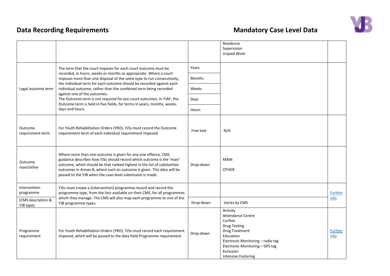

|                                 |                                                                                                                                                                                                                                                                                                                                                          |           | Residence<br>Supervision<br>Unpaid Work                                                                                                                                                                                        |                        |
|---------------------------------|----------------------------------------------------------------------------------------------------------------------------------------------------------------------------------------------------------------------------------------------------------------------------------------------------------------------------------------------------------|-----------|--------------------------------------------------------------------------------------------------------------------------------------------------------------------------------------------------------------------------------|------------------------|
|                                 | The term that the court imposes for each court outcome must be                                                                                                                                                                                                                                                                                           | Years     |                                                                                                                                                                                                                                |                        |
|                                 | recorded, in hours, weeks or months as appropriate. Where a court<br>imposes more than one disposal of the same type to run consecutively,<br>the individual term for each outcome should be recorded against each                                                                                                                                       | Months    |                                                                                                                                                                                                                                |                        |
| Legal outcome term              | individual outcome, rather than the combined term being recorded<br>against one of the outcomes.                                                                                                                                                                                                                                                         | Weeks     |                                                                                                                                                                                                                                |                        |
|                                 | The Outcome term is not required for pre-court outcomes. In YJAF, the<br>Outcome term is held in five fields, for terms in years, months, weeks,                                                                                                                                                                                                         | Days      |                                                                                                                                                                                                                                |                        |
|                                 | days and hours.                                                                                                                                                                                                                                                                                                                                          | Hours     |                                                                                                                                                                                                                                |                        |
| Outcome<br>requirement term     | For Youth Rehabilitation Orders (YRO), YJSs must record the Outcome<br>requirement term of each individual requirement imposed.                                                                                                                                                                                                                          | Free text | N/A                                                                                                                                                                                                                            |                        |
| Outcome<br>main/other           | Where more than one outcome is given for any one offence, CMS<br>guidance describes how YJSs should record which outcome is the 'main'<br>outcome, which should be that ranked highest in the list of substantive<br>outcomes in Annex B, where such an outcome is given. This data will be<br>passed to the YJB when the case-level submission is made. | Drop-down | <b>MAIN</b><br><b>OTHER</b>                                                                                                                                                                                                    |                        |
| Intervention<br>programme       | YJSs must create a (intervention) programme record and record the<br>programme type, from the lists available on their CMS, for all programmes                                                                                                                                                                                                           |           |                                                                                                                                                                                                                                | <b>Further</b>         |
| (CMS description &<br>YJB type) | which they manage. The CMS will also map each programme to one of the<br>YJB programme types.                                                                                                                                                                                                                                                            | Drop-down | Varies by CMS                                                                                                                                                                                                                  | info                   |
| Programme<br>requirement        | For Youth Rehabilitation Orders (YRO), YJSs must record each requirement<br>imposed, which will be passed to the data field Programme requirement.                                                                                                                                                                                                       | Drop-down | Activity<br><b>Attendance Centre</b><br>Curfew<br><b>Drug Testing</b><br><b>Drug Treatment</b><br>Education<br>Electronic Monitoring - radio tag<br>Electronic Monitoring - GPS tag<br>Exclusion<br><b>Intensive Fostering</b> | <b>Further</b><br>info |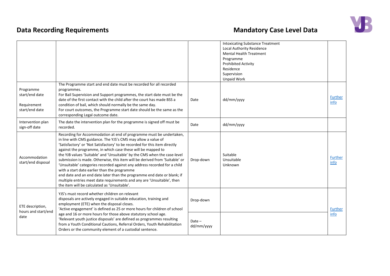|                                                              |                                                                                                                                                                                                                                                                                                                                                                                                                                                                                                                                                                                                                                                                                                                                                                                  |                        | <b>Intoxicating Substance Treatment</b><br>Local Authority Residence<br><b>Mental Health Treatment</b><br>Programme<br>Prohibited Activity<br>Residence<br>Supervision<br><b>Unpaid Work</b> |                 |
|--------------------------------------------------------------|----------------------------------------------------------------------------------------------------------------------------------------------------------------------------------------------------------------------------------------------------------------------------------------------------------------------------------------------------------------------------------------------------------------------------------------------------------------------------------------------------------------------------------------------------------------------------------------------------------------------------------------------------------------------------------------------------------------------------------------------------------------------------------|------------------------|----------------------------------------------------------------------------------------------------------------------------------------------------------------------------------------------|-----------------|
| Programme<br>start/end date<br>Requirement<br>start/end date | The Programme start and end date must be recorded for all recorded<br>programmes.<br>For Bail Supervision and Support programmes, the start date must be the<br>date of the first contact with the child after the court has made BSS a<br>condition of bail, which should normally be the same day.<br>For court outcomes, the Programme start date should be the same as the<br>corresponding Legal outcome date.                                                                                                                                                                                                                                                                                                                                                              | Date                   | dd/mm/yyyy                                                                                                                                                                                   | Further<br>info |
| Intervention plan<br>sign-off date                           | The date the intervention plan for the programme is signed off must be<br>recorded.                                                                                                                                                                                                                                                                                                                                                                                                                                                                                                                                                                                                                                                                                              | Date                   | dd/mm/yyyy                                                                                                                                                                                   |                 |
| Accommodation<br>start/end disposal                          | Recording for Accommodation at end of programme must be undertaken,<br>in line with CMS guidance. The YJS's CMS may allow a value of<br>'Satisfactory' or 'Not Satisfactory' to be recorded for this item directly<br>against the programme, in which case these will be mapped to<br>the YJB values 'Suitable' and 'Unsuitable' by the CMS when the case-level<br>submission is made. Otherwise, this item will be derived from 'Suitable' or<br>'Unsuitable' categories recorded against any address recorded for a child<br>with a start date earlier than the programme<br>end date and an end date later than the programme end date or blank; if<br>multiple entries meet date requirements and any are 'Unsuitable', then<br>the item will be calculated as 'Unsuitable'. | Drop-down              | Suitable<br>Unsuitable<br>Unknown                                                                                                                                                            | Further<br>info |
| ETE description,<br>hours and start/end<br>date              | YJS's must record whether children on relevant<br>disposals are actively engaged in suitable education, training and<br>employment (ETE) when the disposal closes.<br>'Active engagement' is defined as 25 or more hours for children of school                                                                                                                                                                                                                                                                                                                                                                                                                                                                                                                                  | Drop-down              |                                                                                                                                                                                              | <b>Further</b>  |
|                                                              | age and 16 or more hours for those above statutory school age.<br>'Relevant youth justice disposals' are defined as programmes resulting<br>from a Youth Conditional Cautions, Referral Orders, Youth Rehabilitation<br>Orders or the community element of a custodial sentence.                                                                                                                                                                                                                                                                                                                                                                                                                                                                                                 | $Date -$<br>dd/mm/yyyy |                                                                                                                                                                                              | info            |

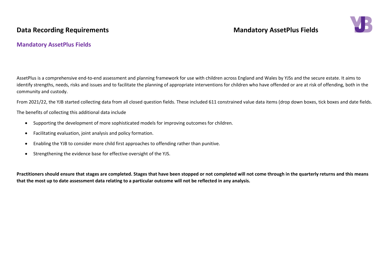## **Data Recording Requirements Mandatory AssetPlus Fields**



### **Mandatory AssetPlus Fields**

AssetPlus is a comprehensive end-to-end assessment and planning framework for use with children across England and Wales by YJSs and the secure estate. It aims to identify strengths, needs, risks and issues and to facilitate the planning of appropriate interventions for children who have offended or are at risk of offending, both in the community and custody.

From 2021/22, the YJB started collecting data from all closed question fields. These included 611 constrained value data items (drop down boxes, tick boxes and date fields.

The benefits of collecting this additional data include

- Supporting the development of more sophisticated models for improving outcomes for children.
- Facilitating evaluation, joint analysis and policy formation.
- Enabling the YJB to consider more child first approaches to offending rather than punitive.
- Strengthening the evidence base for effective oversight of the YJS.

**Practitioners should ensure that stages are completed. Stages that have been stopped or not completed will not come through in the quarterly returns and this means that the most up to date assessment data relating to a particular outcome will not be reflected in any analysis.**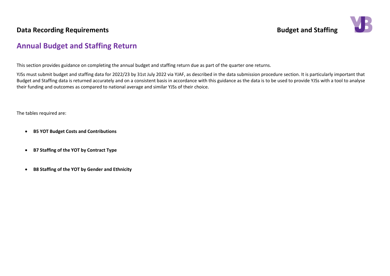

## <span id="page-18-0"></span>**Annual Budget and Staffing Return**

This section provides guidance on completing the annual budget and staffing return due as part of the quarter one returns.

YJSs must submit budget and staffing data for 2022/23 by 31st July 2022 via YJAF, as described in the data submission procedure section. It is particularly important that Budget and Staffing data is returned accurately and on a consistent basis in accordance with this guidance as the data is to be used to provide YJSs with a tool to analyse their funding and outcomes as compared to national average and similar YJSs of their choice.

The tables required are:

- **B5 YOT Budget Costs and Contributions**
- **B7 Staffing of the YOT by Contract Type**
- **B8 Staffing of the YOT by Gender and Ethnicity**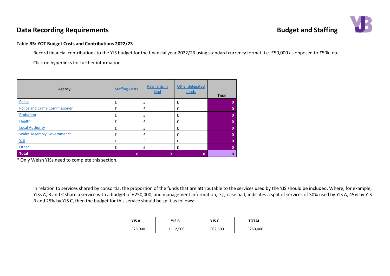

### **Table B5: YOT Budget Costs and Contributions 2022/23**

Record financial contributions to the YJS budget for the financial year 2022/23 using standard currency format, i.e. £50,000 as opposed to £50k, etc.

Click on hyperlinks for further information.

| Agency                               | <b>Staffing Costs</b> | <b>Payments in</b><br>kind | Other delegated<br>funds | <b>Total</b> |
|--------------------------------------|-----------------------|----------------------------|--------------------------|--------------|
| Police                               | £                     | £                          | £                        |              |
| <b>Police and Crime Commissioner</b> | £                     | £                          | £                        | 0            |
| Probation                            | £                     | £                          | £                        | $\mathbf 0$  |
| Health                               | £                     | £                          | £                        | $\Omega$     |
| <b>Local Authority</b>               |                       | £                          | £                        | 0            |
| <b>Wales Assembly Government*</b>    |                       | £                          | £                        |              |
| YJB                                  |                       | £                          | £                        | 0            |
| Other                                |                       | £                          | £                        | 0            |
| Total                                | 0                     | $\bf{0}$                   | 0                        | 0            |

\* Only Welsh YJSs need to complete this section.

In relation to services shared by consortia, the proportion of the funds that are attributable to the services used by the YJS should be included. Where, for example, YJSs A, B and C share a service with a budget of £250,000, and management information, e.g. caseload, indicates a split of services of 30% used by YJS A, 45% by YJS B and 25% by YJS C, then the budget for this service should be split as follows:

| YJS A   | YJS B    | YJS C   | <b>TOTAL</b> |  |  |
|---------|----------|---------|--------------|--|--|
| £75,000 | £112,500 | £62,500 | £250,000     |  |  |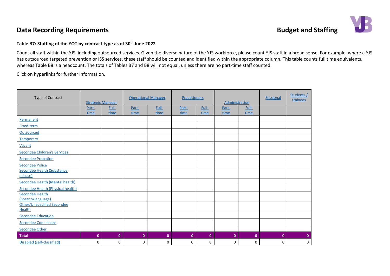

### **Table B7: Staffing of the YOT by contract type as of 30th June 2022**

Count all staff within the YJS, including outsourced services. Given the diverse nature of the YJS workforce, please count YJS staff in a broad sense. For example, where a YJS has outsourced targeted prevention or ISS services, these staff should be counted and identified within the appropriate column. This table counts full time equivalents, whereas Table B8 is a headcount. The totals of Tables B7 and B8 will not equal, unless there are no part-time staff counted.

Click on hyperlinks for further information.

| Type of Contract                     | <b>Strategic Manager</b> |               | <b>Operational Manager</b> |               | <b>Practitioners</b> |               | Administration |               | <b>Sessional</b> | Students /<br>trainees |
|--------------------------------------|--------------------------|---------------|----------------------------|---------------|----------------------|---------------|----------------|---------------|------------------|------------------------|
|                                      | Part-<br>time            | Full-<br>time | Part-<br>time              | Full-<br>time | Part-<br>time        | Full-<br>time | Part-<br>time  | Full-<br>time |                  |                        |
| Permanent                            |                          |               |                            |               |                      |               |                |               |                  |                        |
| Fixed-term                           |                          |               |                            |               |                      |               |                |               |                  |                        |
| Outsourced                           |                          |               |                            |               |                      |               |                |               |                  |                        |
| Temporary                            |                          |               |                            |               |                      |               |                |               |                  |                        |
| Vacant                               |                          |               |                            |               |                      |               |                |               |                  |                        |
| Secondee Children's Services         |                          |               |                            |               |                      |               |                |               |                  |                        |
| <b>Secondee Probation</b>            |                          |               |                            |               |                      |               |                |               |                  |                        |
| <b>Secondee Police</b>               |                          |               |                            |               |                      |               |                |               |                  |                        |
| <b>Secondee Health (Substance</b>    |                          |               |                            |               |                      |               |                |               |                  |                        |
| misuse)                              |                          |               |                            |               |                      |               |                |               |                  |                        |
| Secondee Health (Mental health)      |                          |               |                            |               |                      |               |                |               |                  |                        |
| Secondee Health (Physical health)    |                          |               |                            |               |                      |               |                |               |                  |                        |
| <b>Secondee Health</b>               |                          |               |                            |               |                      |               |                |               |                  |                        |
| (Speech/language)                    |                          |               |                            |               |                      |               |                |               |                  |                        |
| Other/Unspecified Secondee<br>Health |                          |               |                            |               |                      |               |                |               |                  |                        |
| <b>Secondee Education</b>            |                          |               |                            |               |                      |               |                |               |                  |                        |
| <b>Secondee Connexions</b>           |                          |               |                            |               |                      |               |                |               |                  |                        |
| <b>Secondee Other</b>                |                          |               |                            |               |                      |               |                |               |                  |                        |
| <b>Total</b>                         | $\mathbf{0}$             | $\mathbf{0}$  | $\mathbf{0}$               | $\mathbf 0$   | $\mathbf{0}$         | $\mathbf{0}$  | $\mathbf{0}$   | $\mathbf 0$   | $\mathbf{0}$     | $\mathbf{0}$           |
| Disabled (self-classified)           | 0                        | 0             | 0                          | 0             | 0                    | 0             | 0              | 0             | 0                | 0                      |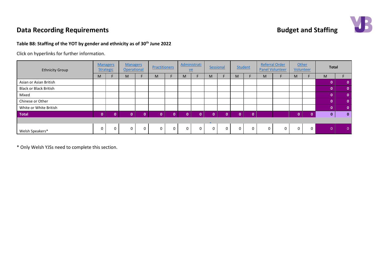### **Table B8: Staffing of the YOT by gender and ethnicity as of 30th June 2022**

Click on hyperlinks for further information.

| <b>Ethnicity Group</b>        |          | <b>Managers</b><br><b>Strategic</b> | <b>Managers</b><br>Operational |   | <b>Practitioners</b> |          | $ve$         | Administrati | Sessional                |   |   | <b>Student</b> |   | <b>Referral Order</b><br><b>Panel Volunteer</b> |             | Other<br>Volunteer | <b>Total</b> |              |
|-------------------------------|----------|-------------------------------------|--------------------------------|---|----------------------|----------|--------------|--------------|--------------------------|---|---|----------------|---|-------------------------------------------------|-------------|--------------------|--------------|--------------|
|                               | M        |                                     | M                              |   | M                    |          | M            |              | M                        | F | M |                | M |                                                 | M           |                    | M            |              |
| Asian or Asian British        |          |                                     |                                |   |                      |          |              |              |                          |   |   |                |   |                                                 |             |                    | 0            | $\mathbf{0}$ |
| <b>Black or Black British</b> |          |                                     |                                |   |                      |          |              |              |                          |   |   |                |   |                                                 |             |                    | $\Omega$     | $\mathbf{0}$ |
| Mixed                         |          |                                     |                                |   |                      |          |              |              |                          |   |   |                |   |                                                 |             |                    | $\mathbf{0}$ | $\mathbf{0}$ |
| Chinese or Other              |          |                                     |                                |   |                      |          |              |              |                          |   |   |                |   |                                                 |             |                    | 0            | $\mathbf{0}$ |
| White or White British        |          |                                     |                                |   |                      |          |              |              |                          |   |   |                |   |                                                 |             |                    | $\Omega$     | $\mathbf{0}$ |
| <b>Total</b>                  | $\Omega$ | n                                   | $\Omega$                       | n | $\Omega$             | n        | $\mathbf{0}$ | n            | $\Omega$                 | n | n | $\Omega$       |   |                                                 | $\Omega$    | $\Omega$           | $\bf{0}$     | $\mathbf{0}$ |
|                               |          |                                     |                                |   |                      |          |              |              | $\overline{\phantom{a}}$ |   |   |                |   |                                                 |             |                    |              |              |
| Welsh Speakers*               | $\Omega$ | 0                                   | $\mathbf 0$                    | 0 | 0                    | $\Omega$ | $\mathbf 0$  | $\Omega$     | 0                        | 0 | 0 | 0              | 0 | 0                                               | $\mathbf 0$ | 0                  | $\Omega$     | $\Omega$     |

\* Only Welsh YJSs need to complete this section.

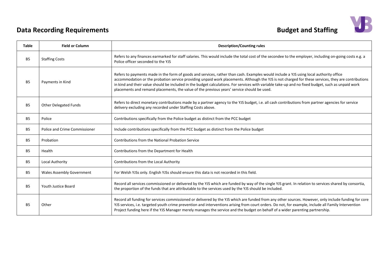

<span id="page-22-10"></span><span id="page-22-9"></span><span id="page-22-8"></span><span id="page-22-7"></span><span id="page-22-6"></span><span id="page-22-5"></span><span id="page-22-4"></span><span id="page-22-3"></span><span id="page-22-2"></span><span id="page-22-1"></span><span id="page-22-0"></span>

| Table     | <b>Field or Column</b>               | <b>Description/Counting rules</b>                                                                                                                                                                                                                                                                                                                                                                                                                                                                                                                 |
|-----------|--------------------------------------|---------------------------------------------------------------------------------------------------------------------------------------------------------------------------------------------------------------------------------------------------------------------------------------------------------------------------------------------------------------------------------------------------------------------------------------------------------------------------------------------------------------------------------------------------|
| <b>B5</b> | <b>Staffing Costs</b>                | Refers to any finances earmarked for staff salaries. This would include the total cost of the secondee to the employer, including on-going costs e.g. a<br>Police officer seconded to the YJS                                                                                                                                                                                                                                                                                                                                                     |
| <b>B5</b> | Payments in Kind                     | Refers to payments made in the form of goods and services, rather than cash. Examples would include a YJS using local authority office<br>accommodation or the probation service providing unpaid work placements. Although the YJS is not charged for these services, they are contributions<br>in kind and their value should be included in the budget calculations. For services with variable take-up and no fixed budget, such as unpaid work<br>placements and remand placements, the value of the previous years' service should be used. |
| <b>B5</b> | <b>Other Delegated Funds</b>         | Refers to direct monetary contributions made by a partner agency to the YJS budget, i.e. all cash contributions from partner agencies for service<br>delivery excluding any recorded under Staffing Costs above.                                                                                                                                                                                                                                                                                                                                  |
| <b>B5</b> | Police                               | Contributions specifically from the Police budget as distinct from the PCC budget                                                                                                                                                                                                                                                                                                                                                                                                                                                                 |
| <b>B5</b> | <b>Police and Crime Commissioner</b> | Include contributions specifically from the PCC budget as distinct from the Police budget                                                                                                                                                                                                                                                                                                                                                                                                                                                         |
| <b>B5</b> | Probation                            | Contributions from the National Probation Service                                                                                                                                                                                                                                                                                                                                                                                                                                                                                                 |
| <b>B5</b> | Health                               | Contributions from the Department for Health                                                                                                                                                                                                                                                                                                                                                                                                                                                                                                      |
| <b>B5</b> | Local Authority                      | Contributions from the Local Authority                                                                                                                                                                                                                                                                                                                                                                                                                                                                                                            |
| <b>B5</b> | <b>Wales Assembly Government</b>     | For Welsh YJSs only. English YJSs should ensure this data is not recorded in this field.                                                                                                                                                                                                                                                                                                                                                                                                                                                          |
| <b>B5</b> | <b>Youth Justice Board</b>           | Record all services commissioned or delivered by the YJS which are funded by way of the single YJS grant. In relation to services shared by consortia,<br>the proportion of the funds that are attributable to the services used by the YJS should be included.                                                                                                                                                                                                                                                                                   |
| <b>B5</b> | Other                                | Record all funding for services commissioned or delivered by the YJS which are funded from any other sources. However, only include funding for core<br>YJS services, i.e. targeted youth crime prevention and interventions arising from court orders. Do not, for example, include all Family Intervention<br>Project funding here if the YJS Manager merely manages the service and the budget on behalf of a wider parenting partnership.                                                                                                     |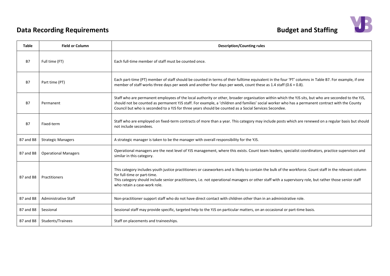| <b>Budget and Staffing</b> |  |
|----------------------------|--|
|----------------------------|--|



<span id="page-23-9"></span><span id="page-23-8"></span><span id="page-23-7"></span><span id="page-23-6"></span><span id="page-23-5"></span><span id="page-23-4"></span><span id="page-23-3"></span><span id="page-23-2"></span><span id="page-23-1"></span><span id="page-23-0"></span>

| <b>Table</b> | <b>Field or Column</b>      | <b>Description/Counting rules</b>                                                                                                                                                                                                                                                                                                                                                                               |
|--------------|-----------------------------|-----------------------------------------------------------------------------------------------------------------------------------------------------------------------------------------------------------------------------------------------------------------------------------------------------------------------------------------------------------------------------------------------------------------|
| <b>B7</b>    | Full time (FT)              | Each full-time member of staff must be counted once.                                                                                                                                                                                                                                                                                                                                                            |
| <b>B7</b>    | Part time (PT)              | Each part-time (PT) member of staff should be counted in terms of their fulltime equivalent in the four 'PT' columns in Table B7. For example, if one<br>member of staff works three days per week and another four days per week, count these as 1.4 staff (0.6 + 0.8).                                                                                                                                        |
| <b>B7</b>    | Permanent                   | Staff who are permanent employees of the local authority or other, broader organisation within which the YJS sits, but who are seconded to the YJS,<br>should not be counted as permanent YJS staff. For example, a 'children and families' social worker who has a permanent contract with the County<br>Council but who is seconded to a YJS for three years should be counted as a Social Services Secondee. |
| <b>B7</b>    | Fixed-term                  | Staff who are employed on fixed-term contracts of more than a year. This category may include posts which are renewed on a regular basis but should<br>not include secondees.                                                                                                                                                                                                                                   |
| B7 and B8    | <b>Strategic Managers</b>   | A strategic manager is taken to be the manager with overall responsibility for the YJS.                                                                                                                                                                                                                                                                                                                         |
| B7 and B8    | <b>Operational Managers</b> | Operational managers are the next level of YJS management, where this exists. Count team leaders, specialist coordinators, practice supervisors and<br>similar in this category.                                                                                                                                                                                                                                |
| B7 and B8    | Practitioners               | This category includes youth justice practitioners or caseworkers and is likely to contain the bulk of the workforce. Count staff in the relevant column<br>for full-time or part-time.<br>This category should include senior practitioners, i.e. not operational managers or other staff with a supervisory role, but rather those senior staff<br>who retain a case-work role.                               |
| B7 and B8    | <b>Administrative Staff</b> | Non-practitioner support staff who do not have direct contact with children other than in an administrative role.                                                                                                                                                                                                                                                                                               |
| B7 and B8    | Sessional                   | Sessional staff may provide specific, targeted help to the YJS on particular matters, on an occasional or part-time basis.                                                                                                                                                                                                                                                                                      |
| B7 and B8    | Students/Trainees           | Staff on placements and traineeships.                                                                                                                                                                                                                                                                                                                                                                           |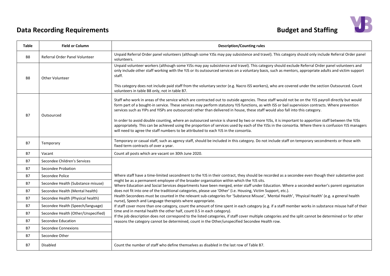|  | <b>Budget and Staffing</b> |  |
|--|----------------------------|--|
|--|----------------------------|--|



<span id="page-24-4"></span><span id="page-24-3"></span><span id="page-24-2"></span><span id="page-24-1"></span><span id="page-24-0"></span>

| <b>Table</b>   | <b>Field or Column</b>              | <b>Description/Counting rules</b>                                                                                                                                                                                                                                                                                                                                                                                                                                                                                                                                                                                                                                                                                                                                                                                                               |
|----------------|-------------------------------------|-------------------------------------------------------------------------------------------------------------------------------------------------------------------------------------------------------------------------------------------------------------------------------------------------------------------------------------------------------------------------------------------------------------------------------------------------------------------------------------------------------------------------------------------------------------------------------------------------------------------------------------------------------------------------------------------------------------------------------------------------------------------------------------------------------------------------------------------------|
| <b>B8</b>      | Referral Order Panel Volunteer      | Unpaid Referral Order panel volunteers (although some YJSs may pay subsistence and travel). This category should only include Referral Order panel<br>volunteers.                                                                                                                                                                                                                                                                                                                                                                                                                                                                                                                                                                                                                                                                               |
| B <sub>8</sub> | <b>Other Volunteer</b>              | Unpaid volunteer workers (although some YJSs may pay subsistence and travel). This category should exclude Referral Order panel volunteers and<br>only include other staff working with the YJS or its outsourced services on a voluntary basis, such as mentors, appropriate adults and victim support<br>staff.                                                                                                                                                                                                                                                                                                                                                                                                                                                                                                                               |
|                |                                     | This category does not include paid staff from the voluntary sector (e.g. Nacro ISS workers), who are covered under the section Outsourced. Count<br>volunteers in table B8 only, not in table B7.                                                                                                                                                                                                                                                                                                                                                                                                                                                                                                                                                                                                                                              |
| <b>B7</b>      | Outsourced                          | Staff who work in areas of the service which are contracted out to outside agencies. These staff would not be on the YJS payroll directly but would<br>form part of a bought-in service. These services may perform statutory YJS functions, as with ISS or bail supervision contracts. Where prevention<br>services such as YIPs and YISPs are outsourced rather than delivered in house, these staff would also fall into this category.<br>In order to avoid double counting, where an outsourced service is shared by two or more YJSs, it is important to apportion staff between the YJSs<br>appropriately. This can be achieved using the proportion of services used by each of the YJSs in the consortia. Where there is confusion YJS managers<br>will need to agree the staff numbers to be attributed to each YJS in the consortia. |
| <b>B7</b>      | Temporary                           | Temporary or casual staff, such as agency staff, should be included in this category. Do not include staff on temporary secondments or those with<br>fixed term contracts of over a year.                                                                                                                                                                                                                                                                                                                                                                                                                                                                                                                                                                                                                                                       |
| B7             | Vacant                              | Count all posts which are vacant on 30th June 2020.                                                                                                                                                                                                                                                                                                                                                                                                                                                                                                                                                                                                                                                                                                                                                                                             |
| <b>B7</b>      | Secondee Children's Services        |                                                                                                                                                                                                                                                                                                                                                                                                                                                                                                                                                                                                                                                                                                                                                                                                                                                 |
| <b>B7</b>      | Secondee Probation                  |                                                                                                                                                                                                                                                                                                                                                                                                                                                                                                                                                                                                                                                                                                                                                                                                                                                 |
| <b>B7</b>      | Secondee Police                     | Where staff have a time-limited secondment to the YJS in their contract, they should be recorded as a secondee even though their substantive post                                                                                                                                                                                                                                                                                                                                                                                                                                                                                                                                                                                                                                                                                               |
| <b>B7</b>      | Secondee Health (Substance misuse)  | might be as a permanent employee of the broader organisation within which the YJS sits.<br>Where Education and Social Services departments have been merged, enter staff under Education. Where a seconded worker's parent organisation                                                                                                                                                                                                                                                                                                                                                                                                                                                                                                                                                                                                         |
| <b>B7</b>      | Secondee Health (Mental health)     | does not fit into one of the traditional categories, please use 'Other' (i.e. Housing, Victim Support, etc.).                                                                                                                                                                                                                                                                                                                                                                                                                                                                                                                                                                                                                                                                                                                                   |
| <b>B7</b>      | Secondee Health (Physical health)   | Health Secondees must be counted in the relevant sub-categories for 'Substance Misuse', 'Mental Health', 'Physical Health' (e.g. a general health<br>nurse), Speech and Language therapists where appropriate.                                                                                                                                                                                                                                                                                                                                                                                                                                                                                                                                                                                                                                  |
| <b>B7</b>      | Secondee Health (Speech/language)   | If staff cover more than one category, count the amount of time spent in each category (e.g. if a staff member works in substance misuse half of their                                                                                                                                                                                                                                                                                                                                                                                                                                                                                                                                                                                                                                                                                          |
| <b>B7</b>      | Secondee Health (Other/Unspecified) | time and in mental health the other half, count 0.5 in each category).<br>If the job description does not correspond to the listed categories, if staff cover multiple categories and the split cannot be determined or for other                                                                                                                                                                                                                                                                                                                                                                                                                                                                                                                                                                                                               |
| <b>B7</b>      | Secondee Education                  | reasons the category cannot be determined, count in the Other/unspecified Secondee Health row.                                                                                                                                                                                                                                                                                                                                                                                                                                                                                                                                                                                                                                                                                                                                                  |
| <b>B7</b>      | Secondee Connexions                 |                                                                                                                                                                                                                                                                                                                                                                                                                                                                                                                                                                                                                                                                                                                                                                                                                                                 |
| <b>B7</b>      | Secondee Other                      |                                                                                                                                                                                                                                                                                                                                                                                                                                                                                                                                                                                                                                                                                                                                                                                                                                                 |
| <b>B7</b>      | Disabled                            | Count the number of staff who define themselves as disabled in the last row of Table B7.                                                                                                                                                                                                                                                                                                                                                                                                                                                                                                                                                                                                                                                                                                                                                        |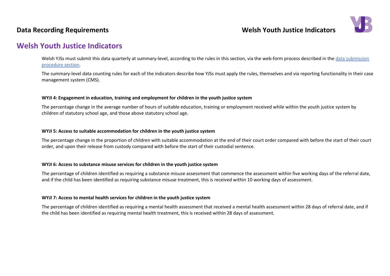## **Data Recording Requirements Notify 10** and the US of the Welsh Youth Justice Indicators



## <span id="page-25-0"></span>**Welsh Youth Justice Indicators**

Welsh YJSs must submit this data quarterly at summary-level, according to the rules in this section, via the web-form process described in the data submission procedure section.

The summary-level data counting rules for each of the indicators describe how YJSs must apply the rules, themselves and via reporting functionality in their case management system (CMS).

#### **WYJI 4: Engagement in education, training and employment for children in the youth justice system**

The percentage change in the average number of hours of suitable education, training or employment received while within the youth justice system by children of statutory school age, and those above statutory school age.

#### **WYJI 5: Access to suitable accommodation for children in the youth justice system**

The percentage change in the proportion of children with suitable accommodation at the end of their court order compared with before the start of their court order, and upon their release from custody compared with before the start of their custodial sentence.

#### **WYJI 6: Access to substance misuse services for children in the youth justice system**

The percentage of children identified as requiring a substance misuse assessment that commence the assessment within five working days of the referral date, and if the child has been identified as requiring substance misuse treatment, this is received within 10 working days of assessment.

#### **WYJI 7: Access to mental health services for children in the youth justice system**

The percentage of children identified as requiring a mental health assessment that received a mental health assessment within 28 days of referral date, and if the child has been identified as requiring mental health treatment, this is received within 28 days of assessment.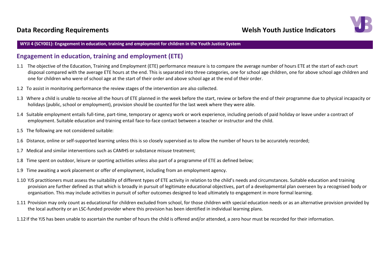

#### **WYJI 4 (SCY001): Engagement in education, training and employment for children in the Youth Justice System**

### **Engagement in education, training and employment (ETE)**

- 1.1 The objective of the Education, Training and Employment (ETE) performance measure is to compare the average number of hours ETE at the start of each court disposal compared with the average ETE hours at the end. This is separated into three categories, one for school age children, one for above school age children and one for children who were of school age at the start of their order and above school age at the end of their order.
- 1.2 To assist in monitoring performance the review stages of the intervention are also collected.
- 1.3 Where a child is unable to receive all the hours of ETE planned in the week before the start, review or before the end of their programme due to physical incapacity or holidays (public, school or employment), provision should be counted for the last week where they were able.
- 1.4 Suitable employment entails full-time, part-time, temporary or agency work or work experience, including periods of paid holiday or leave under a contract of employment. Suitable education and training entail face-to-face contact between a teacher or instructor and the child.
- 1.5 The following are not considered suitable:
- 1.6 Distance, online or self-supported learning unless this is so closely supervised as to allow the number of hours to be accurately recorded;
- 1.7 Medical and similar interventions such as CAMHS or substance misuse treatment;
- 1.8 Time spent on outdoor, leisure or sporting activities unless also part of a programme of ETE as defined below;
- 1.9 Time awaiting a work placement or offer of employment, including from an employment agency.
- 1.10 YJS practitioners must assess the suitability of different types of ETE activity in relation to the child's needs and circumstances. Suitable education and training provision are further defined as that which is broadly in pursuit of legitimate educational objectives, part of a developmental plan overseen by a recognised body or organisation. This may include activities in pursuit of softer outcomes designed to lead ultimately to engagement in more formal learning.
- 1.11 Provision may only count as educational for children excluded from school, for those children with special education needs or as an alternative provision provided by the local authority or an LSC-funded provider where this provision has been identified in individual learning plans.
- 1.12 If the YJS has been unable to ascertain the number of hours the child is offered and/or attended, a zero hour must be recorded for their information.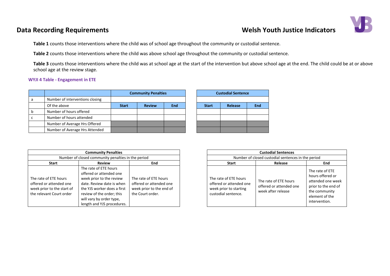## **Data Recording Requirements Welsh Youth Justice Indicators**



**Table 1** counts those interventions where the child was of school age throughout the community or custodial sentence.

**Table 2** counts those interventions where the child was above school age throughout the community or custodial sentence.

**Table 3** counts those interventions where the child was at school age at the start of the intervention but above school age at the end. The child could be at or above school age at the review stage.

#### **WYJI 4 Table - Engagement in ETE**

|   |                                 | <b>Community Penalties</b> |               |            |  | <b>Custodial Sentence</b> |         |     |
|---|---------------------------------|----------------------------|---------------|------------|--|---------------------------|---------|-----|
| а | Number of interventions closing |                            |               |            |  |                           |         |     |
|   | Of the above                    | <b>Start</b>               | <b>Review</b> | <b>End</b> |  | <b>Start</b>              | Release | End |
|   | Number of hours offered         |                            |               |            |  |                           |         |     |
|   | Number of hours attended        |                            |               |            |  |                           |         |     |
|   | Number of Average Hrs Offered   |                            |               |            |  |                           |         |     |
|   | Number of Average Hrs Attended  |                            |               |            |  |                           |         |     |

| <b>Custodial Sentence</b> |                |            |  |  |  |  |  |  |
|---------------------------|----------------|------------|--|--|--|--|--|--|
|                           |                |            |  |  |  |  |  |  |
| <b>Start</b>              | <b>Release</b> | <b>End</b> |  |  |  |  |  |  |
|                           |                |            |  |  |  |  |  |  |
|                           |                |            |  |  |  |  |  |  |
|                           |                |            |  |  |  |  |  |  |
|                           |                |            |  |  |  |  |  |  |

|                                                                                                            | <b>Community Penalties</b>                                                                                                                                                                                                      |                                                                                                  | <b>Custodial Sentences</b>                                                                        |                                                                        |                                                                                                            |  |  |
|------------------------------------------------------------------------------------------------------------|---------------------------------------------------------------------------------------------------------------------------------------------------------------------------------------------------------------------------------|--------------------------------------------------------------------------------------------------|---------------------------------------------------------------------------------------------------|------------------------------------------------------------------------|------------------------------------------------------------------------------------------------------------|--|--|
|                                                                                                            | Number of closed community penalties in the period                                                                                                                                                                              |                                                                                                  | Number of closed custodial sentences in the period                                                |                                                                        |                                                                                                            |  |  |
| <b>Start</b>                                                                                               | <b>Review</b>                                                                                                                                                                                                                   | End                                                                                              | <b>Start</b>                                                                                      | Release                                                                | End                                                                                                        |  |  |
| The rate of ETE hours<br>offered or attended one<br>week prior to the start of<br>the relevant Court order | The rate of ETE hours<br>offered or attended one<br>week prior to the review<br>date. Review date is when<br>the YJS worker does a first<br>review of the order; this<br>will vary by order type,<br>length and YJS procedures. | The rate of ETE hours<br>offered or attended one<br>week prior to the end of<br>the Court order. | The rate of ETE hours<br>offered or attended one<br>week prior to starting<br>custodial sentence. | The rate of ETE hours<br>offered or attended one<br>week after release | The rate of E<br>hours offere<br>attended on<br>prior to the<br>the commur<br>element of t<br>intervention |  |  |

| <b>Custodial Sentences</b>                                                                        |                                                                        |                                                                                                                                     |  |  |  |  |  |  |
|---------------------------------------------------------------------------------------------------|------------------------------------------------------------------------|-------------------------------------------------------------------------------------------------------------------------------------|--|--|--|--|--|--|
|                                                                                                   | Number of closed custodial sentences in the period                     |                                                                                                                                     |  |  |  |  |  |  |
| Release<br>End<br><b>Start</b>                                                                    |                                                                        |                                                                                                                                     |  |  |  |  |  |  |
| The rate of ETE hours<br>offered or attended one<br>week prior to starting<br>custodial sentence. | The rate of ETE hours<br>offered or attended one<br>week after release | The rate of ETE<br>hours offered or<br>attended one week<br>prior to the end of<br>the community<br>element of the<br>intervention. |  |  |  |  |  |  |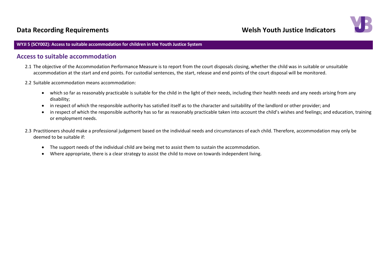## **Data Recording Requirements Notify 10** and the US of the Welsh Youth Justice Indicators



#### **WYJI 5 (SCY002): Access to suitable accommodation for children in the Youth Justice System**

### **Access to suitable accommodation**

- 2.1 The objective of the Accommodation Performance Measure is to report from the court disposals closing, whether the child was in suitable or unsuitable accommodation at the start and end points. For custodial sentences, the start, release and end points of the court disposal will be monitored.
- 2.2 Suitable accommodation means accommodation:
	- which so far as reasonably practicable is suitable for the child in the light of their needs, including their health needs and any needs arising from any disability;
	- in respect of which the responsible authority has satisfied itself as to the character and suitability of the landlord or other provider; and
	- in respect of which the responsible authority has so far as reasonably practicable taken into account the child's wishes and feelings; and education, training or employment needs.
- 2.3 Practitioners should make a professional judgement based on the individual needs and circumstances of each child. Therefore, accommodation may only be deemed to be suitable if:
	- The support needs of the individual child are being met to assist them to sustain the accommodation.
	- Where appropriate, there is a clear strategy to assist the child to move on towards independent living.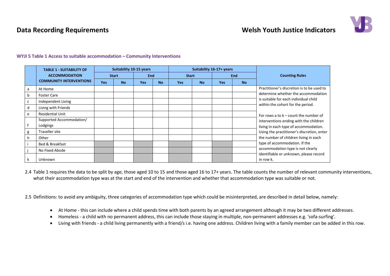## **Data Recording Requirements Notify 10** and the US of the Welsh Youth Justice Indicators



|   | <b>TABLE 1 - SUITABILITY OF</b> | <b>Suitability 10-15 years</b> |           |            |           |              | Suitability 16-17+ years |            | <b>Counting Rules</b> |                                                     |
|---|---------------------------------|--------------------------------|-----------|------------|-----------|--------------|--------------------------|------------|-----------------------|-----------------------------------------------------|
|   | <b>ACCOMMODATION</b>            | <b>Start</b>                   |           | <b>End</b> |           | <b>Start</b> |                          | <b>End</b> |                       |                                                     |
|   | <b>COMMUNITY INTERVENTIONS</b>  | <b>Yes</b>                     | <b>No</b> | <b>Yes</b> | <b>No</b> | <b>Yes</b>   | <b>No</b>                | <b>Yes</b> | <b>No</b>             |                                                     |
| a | At Home                         |                                |           |            |           |              |                          |            |                       | Practitioner's discretion is to be used to          |
| b | <b>Foster Care</b>              |                                |           |            |           |              |                          |            |                       | determine whether the accommodation                 |
| c | Independent Living              |                                |           |            |           |              |                          |            |                       | is suitable for each individual child               |
| d | Living with Friends             |                                |           |            |           |              |                          |            |                       | within the cohort for the period.                   |
| e | <b>Residential Unit</b>         |                                |           |            |           |              |                          |            |                       | For rows a to $k$ – count the number of             |
|   | Supported Accommodation/        |                                |           |            |           |              |                          |            |                       | interventions ending with the children              |
|   | Lodgings                        |                                |           |            |           |              |                          |            |                       | living in each type of accommodation.               |
| g | <b>Traveller site</b>           |                                |           |            |           |              |                          |            |                       | Using the practitioner's discretion, enter          |
| h | Other                           |                                |           |            |           |              |                          |            |                       | the number of children living in each               |
|   | Bed & Breakfast                 |                                |           |            |           |              |                          |            |                       | type of accommodation. If the                       |
|   | No Fixed Abode                  |                                |           |            |           |              |                          |            |                       | accommodation type is not clearly                   |
| k | Unknown                         |                                |           |            |           |              |                          |            |                       | identifiable or unknown, please record<br>in row k. |

#### **WYJI 5 Table 1 Access to suitable accommodation – Community Interventions**

2.4 Table 1 requires the data to be split by age, those aged 10 to 15 and those aged 16 to 17+ years. The table counts the number of relevant community interventions, what their accommodation type was at the start and end of the intervention and whether that accommodation type was suitable or not.

2.5 Definitions: to avoid any ambiguity, three categories of accommodation type which could be misinterpreted, are described in detail below, namely:

- At Home this can include where a child spends time with both parents by an agreed arrangement although it may be two different addresses.
- Homeless a child with no permanent address, this can include those staying in multiple, non-permanent addresses e.g. 'sofa-surfing'.
- Living with friends a child living permanently with a friend/s i.e. having one address. Children living with a family member can be added in this row.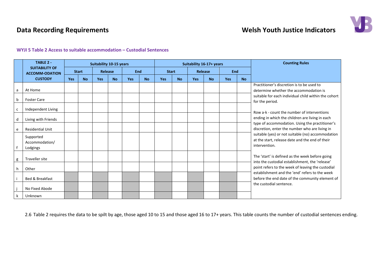## **Data Recording Requirements Welsh Youth Justice Indicators**



#### **WYJI 5 Table 2 Access to suitable accommodation – Custodial Sentences**

|   | <b>TABLE 2 -</b>                               |     | <b>Suitability 10-15 years</b> |            |           |            | Suitability 16-17+ years |              |           |            |           | <b>Counting Rules</b> |           |                                                                                                                                                        |
|---|------------------------------------------------|-----|--------------------------------|------------|-----------|------------|--------------------------|--------------|-----------|------------|-----------|-----------------------|-----------|--------------------------------------------------------------------------------------------------------------------------------------------------------|
|   | <b>SUITABILITY OF</b><br><b>ACCOMM-ODATION</b> |     | <b>Start</b>                   | Release    |           | <b>End</b> |                          | <b>Start</b> |           | Release    |           | <b>End</b>            |           |                                                                                                                                                        |
|   | <b>CUSTODY</b>                                 | Yes | <b>No</b>                      | <b>Yes</b> | <b>No</b> | <b>Yes</b> | <b>No</b>                | Yes          | <b>No</b> | <b>Yes</b> | <b>No</b> | <b>Yes</b>            | <b>No</b> |                                                                                                                                                        |
| a | At Home                                        |     |                                |            |           |            |                          |              |           |            |           |                       |           | Practitioner's discretion is to be used to<br>determine whether the accommodation is                                                                   |
| b | <b>Foster Care</b>                             |     |                                |            |           |            |                          |              |           |            |           |                       |           | suitable for each individual child within the cohort<br>for the period.                                                                                |
| C | Independent Living                             |     |                                |            |           |            |                          |              |           |            |           |                       |           | Row a-k - count the number of interventions                                                                                                            |
| d | Living with Friends                            |     |                                |            |           |            |                          |              |           |            |           |                       |           | ending in which the children are living in each<br>type of accommodation. Using the practitioner's                                                     |
| e | <b>Residential Unit</b>                        |     |                                |            |           |            |                          |              |           |            |           |                       |           | discretion, enter the number who are living in                                                                                                         |
|   | Supported<br>Accommodation/<br>Lodgings        |     |                                |            |           |            |                          |              |           |            |           |                       |           | suitable (yes) or not suitable (no) accommodation<br>at the start, release date and the end of their<br>intervention.                                  |
| g | Traveller site                                 |     |                                |            |           |            |                          |              |           |            |           |                       |           | The 'start' is defined as the week before going<br>into the custodial establishment, the 'release'                                                     |
| h | Other                                          |     |                                |            |           |            |                          |              |           |            |           |                       |           | point refers to the week of leaving the custodial<br>establishment and the 'end' refers to the week<br>before the end date of the community element of |
|   | Bed & Breakfast                                |     |                                |            |           |            |                          |              |           |            |           |                       |           |                                                                                                                                                        |
|   | No Fixed Abode                                 |     |                                |            |           |            |                          |              |           |            |           |                       |           | the custodial sentence.                                                                                                                                |
|   | Unknown                                        |     |                                |            |           |            |                          |              |           |            |           |                       |           |                                                                                                                                                        |

2.6 Table 2 requires the data to be spilt by age, those aged 10 to 15 and those aged 16 to 17+ years. This table counts the number of custodial sentences ending.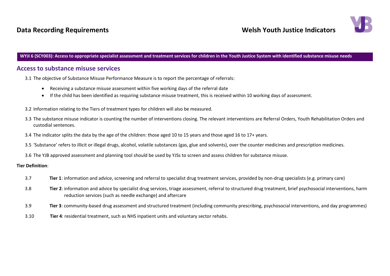## **Data Recording Requirements According Requirements According Requirements According Requirements** According Managements According Managements According Managements According Managements According Managements According Man



#### **WYJI 6 (SCY003): Access to appropriate specialist assessment and treatment services for children in the Youth Justice System with identified substance misuse needs**

### **Access to substance misuse services**

3.1 The objective of Substance Misuse Performance Measure is to report the percentage of referrals:

- Receiving a substance misuse assessment within five working days of the referral date
- If the child has been identified as requiring substance misuse treatment, this is received within 10 working days of assessment.
- 3.2 Information relating to the Tiers of treatment types for children will also be measured.
- 3.3 The substance misuse indicator is counting the number of interventions closing. The relevant interventions are Referral Orders, Youth Rehabilitation Orders and custodial sentences.
- 3.4 The indicator splits the data by the age of the children: those aged 10 to 15 years and those aged 16 to 17+ years.
- 3.5 'Substance' refers to illicit or illegal drugs, alcohol, volatile substances (gas, glue and solvents), over the counter medicines and prescription medicines.
- 3.6 The YJB approved assessment and planning tool should be used by YJSs to screen and assess children for substance misuse.

#### **Tier Definition**:

- 3.7 **Tier 1**: information and advice, screening and referral to specialist drug treatment services, provided by non-drug specialists (e.g. primary care)
- 3.8 **Tier 2**: information and advice by specialist drug services, triage assessment, referral to structured drug treatment, brief psychosocial interventions, harm reduction services (such as needle exchange) and aftercare
- 3.9 **Tier 3**: community-based drug assessment and structured treatment (including community prescribing, psychosocial interventions, and day programmes)
- 3.10 **Tier 4**: residential treatment, such as NHS inpatient units and voluntary sector rehabs.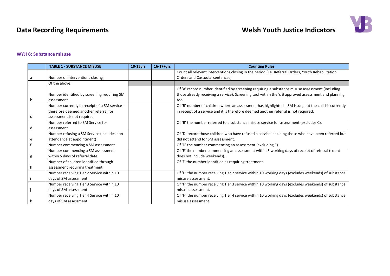## **Data Recording Requirements Welsh Youth Justice Indicators**



### **WYJI 6: Substance misuse**

|   | <b>TABLE 1 - SUBSTANCE MISUSE</b>             | 10-15yrs | $16-17+yrs$ | <b>Counting Rules</b>                                                                                |
|---|-----------------------------------------------|----------|-------------|------------------------------------------------------------------------------------------------------|
|   |                                               |          |             | Count all relevant interventions closing in the period (i.e. Referral Orders, Youth Rehabilitation   |
|   | Number of interventions closing               |          |             | Orders and Custodial sentences).                                                                     |
|   | Of the above:                                 |          |             |                                                                                                      |
|   |                                               |          |             | Of 'A' record number identified by screening requiring a substance misuse assessment (including      |
|   | Number identified by screening requiring SM   |          |             | those already receiving a service). Screening tool within the YJB approved assessment and planning   |
|   | assessment                                    |          |             | tool.                                                                                                |
|   | Number currently in receipt of a SM service - |          |             | Of 'B' number of children where an assessment has highlighted a SM issue, but the child is currently |
|   | therefore deemed another referral for         |          |             | in receipt of a service and it is therefore deemed another referral is not required.                 |
| c | assessment is not required                    |          |             |                                                                                                      |
|   | Number referred to SM Service for             |          |             | Of 'B' the number referred to a substance misuse service for assessment (excludes C).                |
| d | assessment                                    |          |             |                                                                                                      |
|   | Number refusing a SM Service (includes non-   |          |             | Of 'D' record those children who have refused a service including those who have been referred but   |
| e | attendance at appointment)                    |          |             | did not attend for SM assessment.                                                                    |
|   | Number commencing a SM assessment             |          |             | Of 'D' the number commencing an assessment (excluding E).                                            |
|   | Number commencing a SM assessment             |          |             | Of 'F' the number commencing an assessment within 5 working days of receipt of referral (count       |
| g | within 5 days of referral date                |          |             | does not include weekends).                                                                          |
|   | Number of children identified through         |          |             | Of 'F' the number identified as requiring treatment.                                                 |
|   | assessment requiring treatment                |          |             |                                                                                                      |
|   | Number receiving Tier 2 Service within 10     |          |             | Of 'H' the number receiving Tier 2 service within 10 working days (excludes weekends) of substance   |
|   | days of SM assessment                         |          |             | misuse assessment.                                                                                   |
|   | Number receiving Tier 3 Service within 10     |          |             | Of 'H' the number receiving Tier 3 service within 10 working days (excludes weekends) of substance   |
|   | days of SM assessment                         |          |             | misuse assessment.                                                                                   |
|   | Number receiving Tier 4 Service within 10     |          |             | Of 'H' the number receiving Tier 4 service within 10 working days (excludes weekends) of substance   |
|   | days of SM assessment                         |          |             | misuse assessment.                                                                                   |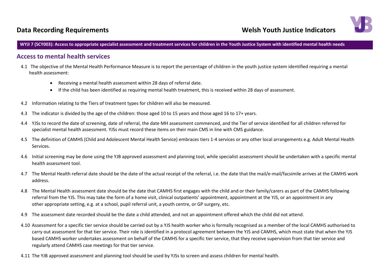## **Data Recording Requirements Constrained Act and Second Welsh Youth Justice Indicators**

**WYJI 7 (SCY003): Access to appropriate specialist assessment and treatment services for children in the Youth Justice System with identified mental health needs**

### **Access to mental health services**

- 4.1 The objective of the Mental Health Performance Measure is to report the percentage of children in the youth justice system identified requiring a mental health assessment:
	- Receiving a mental health assessment within 28 days of referral date.
	- If the child has been identified as requiring mental health treatment, this is received within 28 days of assessment.
- 4.2 Information relating to the Tiers of treatment types for children will also be measured.
- 4.3 The indicator is divided by the age of the children: those aged 10 to 15 years and those aged 16 to 17+ years.
- 4.4 YJSs to record the date of screening, date of referral, the date MH assessment commenced, and the Tier of service identified for all children referred for specialist mental health assessment. YJSs must record these items on their main CMS in line with CMS guidance.
- 4.5 The definition of CAMHS (Child and Adolescent Mental Health Service) embraces tiers 1-4 services or any other local arrangements e.g. Adult Mental Health Services.
- 4.6 Initial screening may be done using the YJB approved assessment and planning tool, while specialist assessment should be undertaken with a specific mental health assessment tool.
- 4.7 The Mental Health referral date should be the date of the actual receipt of the referral, i.e. the date that the mail/e-mail/facsimile arrives at the CAMHS work address.
- 4.8 The Mental Health assessment date should be the date that CAMHS first engages with the child and or their family/carers as part of the CAMHS following referral from the YJS. This may take the form of a home visit, clinical outpatients' appointment, appointment at the YJS, or an appointment in any other appropriate setting, e.g. at a school, pupil referral unit, a youth centre, or GP surgery, etc.
- 4.9 The assessment date recorded should be the date a child attended, and not an appointment offered which the child did not attend.
- 4.10 Assessment for a specific tier service should be carried out by a YJS health worker who is formally recognised as a member of the local CAMHS authorised to carry out assessment for that tier service. Their role is identified in a protocol agreement between the YJS and CAMHS, which must state that when the YJS based CAMHS worker undertakes assessment on behalf of the CAMHS for a specific tier service, that they receive supervision from that tier service and regularly attend CAMHS case meetings for that tier service.
- 4.11 The YJB approved assessment and planning tool should be used by YJSs to screen and assess children for mental health.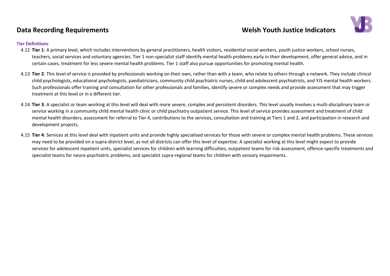## **Data Recording Requirements Constraining Constraining Constraining Welsh Youth Justice Indicators**



#### **Tier Definitions**

- 4.12 **Tier 1**: A primary level, which includes interventions by general practitioners, health visitors, residential social workers, youth justice workers, school nurses, teachers, social services and voluntary agencies. Tier 1 non-specialist staff identify mental health problems early in their development, offer general advice, and in certain cases, treatment for less severe mental health problems. Tier 1 staff also pursue opportunities for promoting mental health.
- 4.13 **Tier 2**: This level of service is provided by professionals working on their own, rather than with a team, who relate to others through a network. They include clinical child psychologists, educational psychologists, paediatricians, community child psychiatric nurses, child and adolescent psychiatrists, and YJS mental health workers. Such professionals offer training and consultation for other professionals and families, identify severe or complex needs and provide assessment that may trigger treatment at this level or in a different tier.
- 4.14 **Tier 3**: A specialist or team working at this level will deal with more severe, complex and persistent disorders. This level usually involves a multi-disciplinary team or service working in a community child mental health clinic or child psychiatry outpatient service. This level of service provides assessment and treatment of child mental health disorders, assessment for referral to Tier 4, contributions to the services, consultation and training at Tiers 1 and 2, and participation in research and development projects.
- 4.15 **Tier 4**: Services at this level deal with inpatient units and provide highly specialised services for those with severe or complex mental health problems. These services may need to be provided on a supra-district level, as not all districts can offer this level of expertise. A specialist working at this level might expect to provide services for adolescent inpatient units, specialist services for children with learning difficulties, outpatient teams for risk assessment, offence-specific treatments and specialist teams for neuro-psychiatric problems, and specialist supra-regional teams for children with sensory impairments.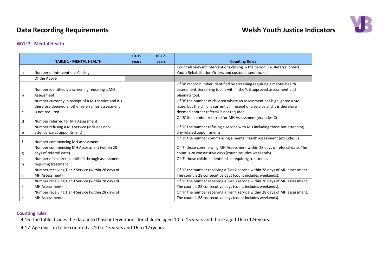## **Data Recording Requirements Welsh Youth Justice Indicators**



#### **WYJI 7 - Mental Health**

|   |                                                      | $10 - 15$ | $16-17+$ |                                                                               |
|---|------------------------------------------------------|-----------|----------|-------------------------------------------------------------------------------|
|   | <b>TABLE 1 - MENTAL HEALTH</b>                       | years     | years    | <b>Counting Rules</b>                                                         |
|   |                                                      |           |          | Count all relevant interventions closing in the period (i.e. Referral orders, |
| a | Number of Interventions Closing                      |           |          | Youth Rehabilitation Orders and custodial sentences).                         |
|   | Of the Above                                         |           |          |                                                                               |
|   |                                                      |           |          | Of 'A' record number identified by screening requiring a mental health        |
|   | Number identified via screening requiring a MH       |           |          | assessment. Screening tool is within the YJB approved assessment and          |
| b | Assessment                                           |           |          | planning tool.                                                                |
|   | Number currently in receipt of a MH service and it's |           |          | Of 'B' the number of children where an assessment has highlighted a SM        |
|   | therefore deemed another referral for assessment     |           |          | issue, but the child is currently in receipt of a service and it is therefore |
| с | is not required                                      |           |          | deemed another referral is not required.                                      |
|   |                                                      |           |          | Of 'B' the number referred for MH Assessment (excludes C)                     |
| d | Number referred for MH Assessment                    |           |          |                                                                               |
|   | Number refusing a MH Service (includes non-          |           |          | Of 'D' the number refusing a service with MH including those not attending    |
| e | attendance at appointment)                           |           |          | any related appointments.                                                     |
|   | Number commencing MH assessment                      |           |          | Of 'D' the number commencing a mental health assessment (excludes E)          |
|   |                                                      |           |          |                                                                               |
|   | Number commencing MH Assessment (within 28           |           |          | Of 'F' those commencing MH Assessment within 28 days of referral date. The    |
| g | days of referral date)                               |           |          | count is 28 consecutive days (count includes weekends).                       |
|   | Number of children identified through assessment     |           |          | Of 'F' those children identified as requiring treatment.                      |
| h | requiring treatment                                  |           |          |                                                                               |
|   | Number receiving Tier 2 Service (within 28 days of   |           |          | Of 'H' the number receiving a Tier 2 service within 28 days of MH assessment. |
|   | MH Assessment)                                       |           |          | The count is 28 consecutive days (count includes weekends).                   |
|   | Number receiving Tier 3 Service (within 28 days of   |           |          | Of 'H' the number receiving a Tier 3 service within 28 days of MH assessment. |
|   | MH Assessment)                                       |           |          | The count is 28 consecutive days (count includes weekends).                   |
|   | Number receiving Tier 4 Service (within 28 days of   |           |          | Of 'H' the number receiving a Tier 4 service within 28 days of MH assessment. |
| k | MH Assessment)                                       |           |          | The count is 28 consecutive days (count includes weekends).                   |

#### **Counting rules**

4.16 The table divides the data into those interventions for children aged 10 to 15 years and those aged 16 to 17+ years.

4.17 Age division to be counted as 10 to 15 years and 16 to 17+years.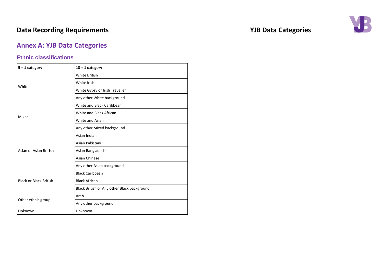## **Data Recording Requirements VJB Data Categories**

## <span id="page-36-0"></span>**Annex A: YJB Data Categories**

### **Ethnic classifications**

| $5 + 1$ category              | $18 + 1$ category                           |  |  |  |
|-------------------------------|---------------------------------------------|--|--|--|
|                               | <b>White British</b>                        |  |  |  |
|                               | White Irish                                 |  |  |  |
| White                         | White Gypsy or Irish Traveller              |  |  |  |
|                               | Any other White background                  |  |  |  |
|                               | White and Black Caribbean                   |  |  |  |
|                               | White and Black African                     |  |  |  |
| Mixed                         | White and Asian                             |  |  |  |
|                               | Any other Mixed background                  |  |  |  |
|                               | Asian Indian                                |  |  |  |
|                               | Asian Pakistani                             |  |  |  |
| Asian or Asian British        | Asian Bangladeshi                           |  |  |  |
|                               | <b>Asian Chinese</b>                        |  |  |  |
|                               | Any other Asian background                  |  |  |  |
|                               | <b>Black Caribbean</b>                      |  |  |  |
| <b>Black or Black British</b> | <b>Black African</b>                        |  |  |  |
|                               | Black British or Any other Black background |  |  |  |
|                               | Arab                                        |  |  |  |
| Other ethnic group            | Any other background                        |  |  |  |
| Unknown                       | Unknown                                     |  |  |  |

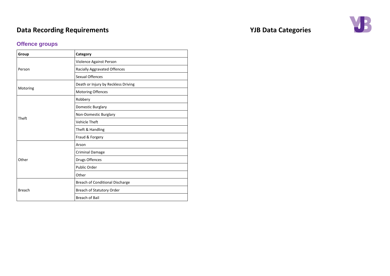## **Offence groups**

| Group         | Category                               |
|---------------|----------------------------------------|
|               | Violence Against Person                |
| Person        | Racially Aggravated Offences           |
|               | <b>Sexual Offences</b>                 |
|               | Death or Injury by Reckless Driving    |
| Motoring      | Motoring Offences                      |
|               | Robbery                                |
|               | Domestic Burglary                      |
| Theft         | Non-Domestic Burglary                  |
|               | <b>Vehicle Theft</b>                   |
|               | Theft & Handling                       |
|               | Fraud & Forgery                        |
|               | Arson                                  |
|               | <b>Criminal Damage</b>                 |
| Other         | Drugs Offences                         |
|               | Public Order                           |
|               | Other                                  |
|               | <b>Breach of Conditional Discharge</b> |
| <b>Breach</b> | Breach of Statutory Order              |
|               | Breach of Bail                         |

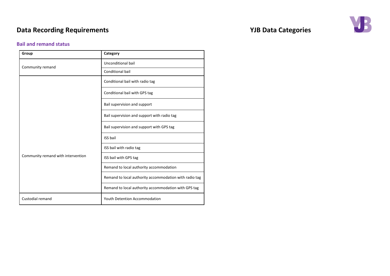### **Bail and remand status**

| Group                              | Category                                               |
|------------------------------------|--------------------------------------------------------|
|                                    | Unconditional bail                                     |
| Community remand                   | <b>Conditional bail</b>                                |
|                                    | Conditional bail with radio tag                        |
|                                    | Conditional bail with GPS tag                          |
|                                    | Bail supervision and support                           |
|                                    | Bail supervision and support with radio tag            |
|                                    | Bail supervision and support with GPS tag              |
|                                    | <b>ISS bail</b>                                        |
|                                    | ISS bail with radio tag                                |
| Community remand with intervention | ISS bail with GPS tag                                  |
|                                    | Remand to local authority accommodation                |
|                                    | Remand to local authority accommodation with radio tag |
|                                    | Remand to local authority accommodation with GPS tag   |
| Custodial remand                   | <b>Youth Detention Accommodation</b>                   |

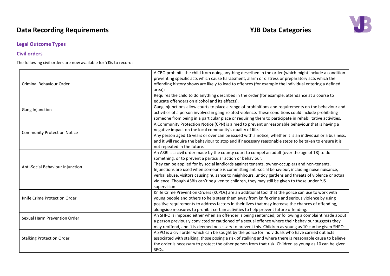### **Legal Outcome Types**

### **Civil orders**

The following civil orders are now available for YJSs to record:

| Criminal Behaviour Order           | A CBO prohibits the child from doing anything described in the order (which might include a condition<br>preventing specific acts which cause harassment, alarm or distress or preparatory acts which the<br>offending history shows are likely to lead to offences (for example the individual entering a defined<br>area);<br>Requires the child to do anything described in the order (for example, attendance at a course to<br>educate offenders on alcohol and its effects).                                                                                                            |
|------------------------------------|-----------------------------------------------------------------------------------------------------------------------------------------------------------------------------------------------------------------------------------------------------------------------------------------------------------------------------------------------------------------------------------------------------------------------------------------------------------------------------------------------------------------------------------------------------------------------------------------------|
| Gang Injunction                    | Gang injunctions allow courts to place a range of prohibitions and requirements on the behaviour and<br>activities of a person involved in gang-related violence. These conditions could include prohibiting<br>someone from being in a particular place or requiring them to participate in rehabilitative activities.                                                                                                                                                                                                                                                                       |
| <b>Community Protection Notice</b> | A Community Protection Notice (CPN) is aimed to prevent unreasonable behaviour that is having a<br>negative impact on the local community's quality of life.<br>Any person aged 16 years or over can be issued with a notice, whether it is an individual or a business,<br>and it will require the behaviour to stop and if necessary reasonable steps to be taken to ensure it is<br>not repeated in the future.                                                                                                                                                                            |
| Anti-Social Behaviour Injunction   | An ASBI is a civil order made by the county court to compel an adult (over the age of 18) to do<br>something, or to prevent a particular action or behaviour.<br>They can be applied for by social landlords against tenants, owner-occupiers and non-tenants.<br>Injunctions are used when someone is committing anti-social behaviour, including noise nuisance,<br>verbal abuse, visitors causing nuisance to neighbours, untidy gardens and threats of violence or actual<br>violence. Though ASBIs can't be given to children, they may still be given to those under YJS<br>supervision |
| Knife Crime Protection Order       | Knife Crime Prevention Orders (KCPOs) are an additional tool that the police can use to work with<br>young people and others to help steer them away from knife crime and serious violence by using<br>positive requirements to address factors in their lives that may increase the chances of offending,<br>alongside measures to prohibit certain activities to help prevent future offending.                                                                                                                                                                                             |
| Sexual Harm Prevention Order       | An SHPO is imposed either when an offender is being sentenced, or following a complaint made about<br>a person previously convicted or cautioned of a sexual offence where their behaviour suggests they<br>may reoffend, and it is deemed necessary to prevent this. Children as young as 10 can be given SHPOs                                                                                                                                                                                                                                                                              |
| <b>Stalking Protection Order</b>   | A SPO is a civil order which can be sought by the police for individuals who have carried out acts<br>associated with stalking, those posing a risk of stalking and where there is reasonable cause to believe<br>the order is necessary to protect the other person from that risk. Children as young as 10 can be given<br>SPO <sub>s</sub> .                                                                                                                                                                                                                                               |

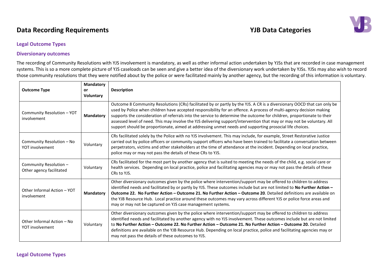## **Data Recording Requirements** *Data* **Categories** *YJB* **Data Categories**



### **Legal Outcome Types**

#### **Diversionary outcomes**

The recording of Community Resolutions with YJS involvement is mandatory, as well as other informal action undertaken by YJSs that are recorded in case management systems. This is so a more complete picture of YJS caseloads can be seen and give a better idea of the diversionary work undertaken by YJSs. YJSs may also wish to record those community resolutions that they were notified about by the police or were facilitated mainly by another agency, but the recording of this information is voluntary.

| <b>Outcome Type</b>                                | Mandatory<br><b>or</b><br><b>Voluntary</b> | <b>Description</b>                                                                                                                                                                                                                                                                                                                                                                                                                                                                                                                                                                                            |
|----------------------------------------------------|--------------------------------------------|---------------------------------------------------------------------------------------------------------------------------------------------------------------------------------------------------------------------------------------------------------------------------------------------------------------------------------------------------------------------------------------------------------------------------------------------------------------------------------------------------------------------------------------------------------------------------------------------------------------|
| Community Resolution - YOT<br>involvement          | Mandatory                                  | Outcome 8 Community Resolutions (CRs) facilitated by or partly by the YJS. A CR is a diversionary OOCD that can only be<br>used by Police when children have accepted responsibility for an offence. A process of multi-agency decision making<br>supports the consideration of referrals into the service to determine the outcome for children, proportionate to their<br>assessed level of need. This may involve the YJS delivering support/intervention that may or may not be voluntary. All<br>support should be proportionate, aimed at addressing unmet needs and supporting prosocial life choices. |
| Community Resolution - No<br>YOT involvement       | Voluntary                                  | CRs facilitated solely by the Police with no YJS involvement. This may include, for example, Street Restorative Justice<br>carried out by police officers or community support officers who have been trained to facilitate a conversation between<br>perpetrators, victims and other stakeholders at the time of attendance at the incident. Depending on local practice,<br>police may or may not pass the details of these CRs to YJS.                                                                                                                                                                     |
| Community Resolution -<br>Other agency facilitated | Voluntary                                  | CRs facilitated for the most part by another agency that is suited to meeting the needs of the child, e.g. social care or<br>health services. Depending on local practice, police and facilitating agencies may or may not pass the details of these<br>CRs to YJS.                                                                                                                                                                                                                                                                                                                                           |
| Other Informal Action - YOT<br>involvement         | <b>Mandatory</b>                           | Other diversionary outcomes given by the police where intervention/support may be offered to children to address<br>identified needs and facilitated by or partly by YJS. These outcomes include but are not limited to No Further Action -<br>Outcome 22. No Further Action - Outcome 21. No Further Action - Outcome 20. Detailed definitions are available on<br>the YJB Resource Hub. Local practice around these outcomes may vary across different YJS or police force areas and<br>may or may not be captured on YJS case management systems.                                                          |
| Other Informal Action - No<br>YOT involvement      | Voluntary                                  | Other diversionary outcomes given by the police where intervention/support may be offered to children to address<br>identified needs and facilitated by another agency with no YJS involvement. These outcomes include but are not limited<br>to No Further Action - Outcome 22. No Further Action - Outcome 21. No Further Action - Outcome 20. Detailed<br>definitions are available on the YJB Resource Hub. Depending on local practice, police and facilitating agencies may or<br>may not pass the details of these outcomes to YJS.                                                                    |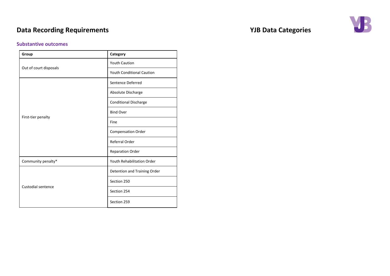### **Substantive outcomes**

| Category                         |  |
|----------------------------------|--|
| <b>Youth Caution</b>             |  |
| <b>Youth Conditional Caution</b> |  |
| Sentence Deferred                |  |
| Absolute Discharge               |  |
| <b>Conditional Discharge</b>     |  |
| <b>Bind Over</b>                 |  |
| Fine                             |  |
| <b>Compensation Order</b>        |  |
| Referral Order                   |  |
| <b>Reparation Order</b>          |  |
| Youth Rehabilitation Order       |  |
| Detention and Training Order     |  |
| Section 250                      |  |
| Section 254                      |  |
| Section 259                      |  |
|                                  |  |

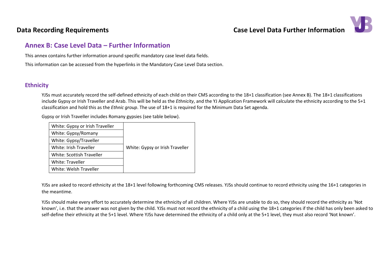

## <span id="page-42-0"></span>**Annex B: Case Level Data – Further Information**

This annex contains further information around specific mandatory case level data fields.

This information can be accessed from the hyperlinks in the Mandatory Case Level Data section.

### **Ethnicity**

YJSs must accurately record the self-defined ethnicity of each child on their CMS according to the 18+1 classification (see Annex B). The 18+1 classifications include Gypsy or Irish Traveller and Arab. This will be held as the *Ethnicity*, and the YJ Application Framework will calculate the ethnicity according to the 5+1 classification and hold this as the *Ethnic group*. The use of 18+1 is required for the Minimum Data Set agenda.

Gypsy or Irish Traveller includes Romany gypsies (see table below).

| White: Gypsy or Irish Traveller |                                 |
|---------------------------------|---------------------------------|
| White: Gypsy/Romany             |                                 |
| White: Gypsy/Traveller          |                                 |
| White: Irish Traveller          | White: Gypsy or Irish Traveller |
| White: Scottish Traveller       |                                 |
| White: Traveller                |                                 |
| White: Welsh Traveller          |                                 |

YJSs are asked to record ethnicity at the 18+1 level following forthcoming CMS releases. YJSs should continue to record ethnicity using the 16+1 categories in the meantime.

YJSs should make every effort to accurately determine the ethnicity of all children. Where YJSs are unable to do so, they should record the ethnicity as 'Not known', i.e. that the answer was not given by the child. YJSs must not record the ethnicity of a child using the 18+1 categories if the child has only been asked to self-define their ethnicity at the 5+1 level. Where YJSs have determined the ethnicity of a child only at the 5+1 level, they must also record 'Not known'.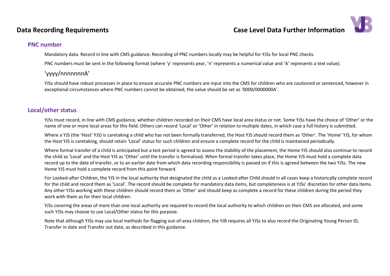## **Data Recording Requirements Case Level Data Further Information**



### **PNC number**

Mandatory data. Record in line with CMS guidance. Recording of PNC numbers locally may be helpful for YJSs for local PNC checks.

PNC numbers must be sent in the following format (where 'y' represents year, 'n' represents a numerical value and 'A' represents a text value).

### 'yyyy/nnnnnnnA'

YJSs should have robust processes in place to ensure accurate PNC numbers are input into the CMS for children who are cautioned or sentenced, however in exceptional circumstances where PNC numbers cannot be obtained, the value should be set as '0000/0000000A'.

## <span id="page-43-0"></span>**Local/other status**

YJSs must record, in line with CMS guidance, whether children recorded on their CMS have local area status or not. Some YJSs have the choice of 'Other' or the name of one or more local areas for this field. Others can record 'Local' or 'Other' in relation to multiple dates, in which case a full history is submitted.

Where a YJS (the 'Host' YJS) is caretaking a child who has not been formally transferred, the Host YJS should record them as 'Other'. The 'Home' YJS, for whom the Host YJS is caretaking, should retain 'Local' status for such children and ensure a complete record for the child is maintained periodically.

Where formal transfer of a child is anticipated but a test period is agreed to assess the stability of the placement, the Home YJS should also continue to record the child as 'Local' and the Host YJS as 'Other' until the transfer is formalised. When formal transfer takes place, the Home YJS must hold a complete data record up to the date of transfer, or to an earlier date from which data recording responsibility is passed on if this is agreed between the two YJSs. The new Home YJS must hold a complete record from this point forward.

For Looked-after Children, the YJS in the local authority that designated the child as a Looked-after Child should in all cases keep a historically complete record for the child and record them as 'Local'. The record should be complete for mandatory data items, but completeness is at YJSs' discretion for other data items. Any other YJSs working with these children should record them as 'Other' and should keep as complete a record for these children during the period they work with them as for their local children.

YJSs covering the areas of more than one local authority are required to record the local authority to which children on their CMS are allocated, and some such YJSs may choose to use Local/Other status for this purpose.

<span id="page-43-1"></span>Note that although YJSs may use local methods for flagging out-of-area children, the YJB requires all YJSs to also record the Originating Young Person ID, Transfer in date and Transfer out date, as described in this guidance.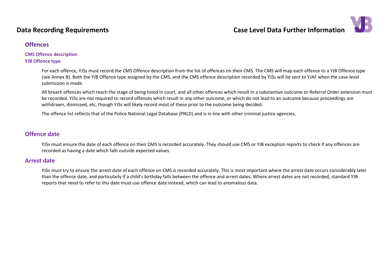

### **Offences**

### **CMS Offence description YJB Offence type**

For each offence, YJSs must record the CMS Offence description from the list of offences on their CMS. The CMS will map each offence to a YJB Offence type (see Annex B). Both the YJB Offence type assigned by the CMS, and the CMS offence description recorded by YJSs will be sent to YJAF when the case-level submission is made.

All breach offences which reach the stage of being listed in court, and all other offences which result in a substantive outcome or Referral Order extension must be recorded. YJSs are not required to record offences which result in any other outcome, or which do not lead to an outcome because proceedings are withdrawn, dismissed, etc, though YJSs will likely record most of these prior to the outcome being decided.

The offence list reflects that of the Police National Legal Database (PNLD) and is in line with other criminal justice agencies.

### <span id="page-44-1"></span>**Offence date**

YJSs must ensure the date of each offence on their CMS is recorded accurately. They should use CMS or YJB exception reports to check if any offences are recorded as having a date which falls outside expected values.

### <span id="page-44-0"></span>**Arrest date**

<span id="page-44-2"></span>YJSs must try to ensure the arrest date of each offence on CMS is recorded accurately. This is most important where the arrest date occurs considerably later than the offence date, and particularly if a child's birthday falls between the offence and arrest dates. Where arrest dates are not recorded, standard YJB reports that need to refer to this date must use offence date instead, which can lead to anomalous data.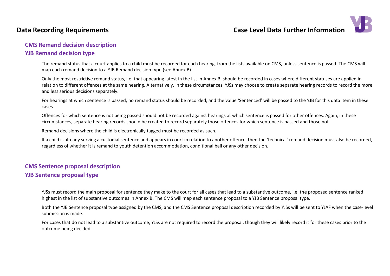## **Data Recording Requirements Case Level Data Further Information**



## **CMS Remand decision description**

### **YJB Remand decision type**

The remand status that a court applies to a child must be recorded for each hearing, from the lists available on CMS, unless sentence is passed. The CMS will map each remand decision to a YJB Remand decision type (see Annex B).

Only the most restrictive remand status, i.e. that appearing latest in the list in Annex B, should be recorded in cases where different statuses are applied in relation to different offences at the same hearing. Alternatively, in these circumstances, YJSs may choose to create separate hearing records to record the more and less serious decisions separately.

For hearings at which sentence is passed, no remand status should be recorded, and the value 'Sentenced' will be passed to the YJB for this data item in these cases.

Offences for which sentence is not being passed should not be recorded against hearings at which sentence is passed for other offences. Again, in these circumstances, separate hearing records should be created to record separately those offences for which sentence is passed and those not.

Remand decisions where the child is electronically tagged must be recorded as such.

If a child is already serving a custodial sentence and appears in court in relation to another offence, then the 'technical' remand decision must also be recorded, regardless of whether it is remand to youth detention accommodation, conditional bail or any other decision.

## <span id="page-45-0"></span>**CMS Sentence proposal description YJB Sentence proposal type**

YJSs must record the main proposal for sentence they make to the court for all cases that lead to a substantive outcome, i.e. the proposed sentence ranked highest in the list of substantive outcomes in Annex B. The CMS will map each sentence proposal to a YJB Sentence proposal type.

Both the YJB Sentence proposal type assigned by the CMS, and the CMS Sentence proposal description recorded by YJSs will be sent to YJAF when the case-level submission is made.

<span id="page-45-1"></span>For cases that do not lead to a substantive outcome, YJSs are not required to record the proposal, though they will likely record it for these cases prior to the outcome being decided.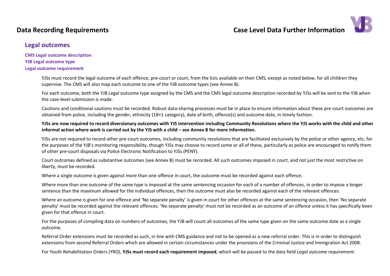

## <span id="page-46-0"></span>**Legal outcomes**

**CMS Legal outcome description YJB Legal outcome type Legal outcome requirement**

> YJSs must record the legal outcome of each offence, pre-court or court, from the lists available on their CMS, except as noted below, for all children they supervise. The CMS will also map each outcome to one of the YJB outcome types (see Annex B).

For each outcome, both the YJB Legal outcome type assigned by the CMS and the CMS legal outcome description recorded by YJSs will be sent to the YJB when the case-level submission is made.

Cautions and conditional cautions must be recorded. Robust data-sharing processes must be in place to ensure information about these pre-court outcomes are obtained from police, including the gender, ethnicity (18+1 category), date of birth, offence(s) and outcome date, in timely fashion.

### **YJSs are now required to record diversionary outcomes with YJS intervention including Community Resolutions where the YJS works with the child and other informal action where work is carried out by the YJS with a child – see Annex B for more information.**

YJSs are not required to record other pre-court outcomes, including community resolutions that are facilitated exclusively by the police or other agency, etc, for the purposes of the YJB's monitoring responsibility, though YJSs may choose to record some or all of these, particularly as police are encouraged to notify them of other pre-court disposals via Police Electronic Notification to YJSs (PENY).

Court outcomes defined as substantive outcomes (see Annex B) must be recorded. All such outcomes imposed in court, and not just the most restrictive on liberty, must be recorded.

Where a single outcome is given against more than one offence in court, the outcome must be recorded against each offence.

Where more than one outcome of the same type is imposed at the same sentencing occasion for each of a number of offences, in order to impose a longer sentence than the maximum allowed for the individual offences, then the outcome must also be recorded against each of the relevant offences.

Where an outcome is given for one offence and 'No separate penalty' is given in court for other offences at the same sentencing occasion, then 'No separate penalty' must be recorded against the relevant offences. 'No separate penalty' must not be recorded as an outcome of an offence unless it has specifically been given for that offence in court.

For the purposes of compiling data on numbers of outcomes, the YJB will count all outcomes of the same type given on the same outcome date as a single outcome.

Referral Order extensions must be recorded as such, in line with CMS guidance and not to be opened as a new referral order. This is in order to distinguish extensions from second Referral Orders which are allowed in certain circumstances under the provisions of the Criminal Justice and Immigration Act 2008.

For Youth Rehabilitation Orders (YRO), **YJSs must record each requirement imposed**, which will be passed to the data field *Legal outcome requirement*.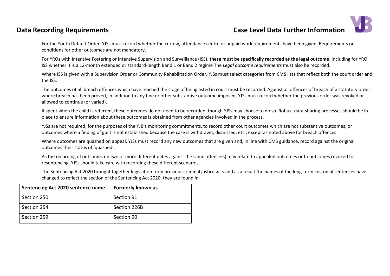## **Data Recording Requirements Case Level Data Further Information**



For the Youth Default Order, YJSs must record whether the curfew, attendance centre or unpaid work requirements have been given. Requirements or conditions for other outcomes are not mandatory.

For YROs with Intensive Fostering or Intensive Supervision and Surveillance (ISS), **these must be specifically recorded as the legal outcome**, including for YRO ISS whether it is a 12-month extended or standard-length Band 1 or Band 2 regime The *Legal outcome requirements* must also be recorded.

Where ISS is given with a Supervision Order or Community Rehabilitation Order, YJSs must select categories from CMS lists that reflect both the court order and the ISS.

The outcomes of all breach offences which have reached the stage of being listed in court must be recorded. Against all offences of breach of a statutory order where breach has been proved, in addition to any fine or other substantive outcome imposed, YJSs must record whether the previous order was revoked or allowed to continue (or varied).

If spent when the child is referred, these outcomes do not need to be recorded, though YJSs may choose to do so. Robust data-sharing processes should be in place to ensure information about these outcomes is obtained from other agencies involved in the process.

YJSs are not required, for the purposes of the YJB's monitoring commitments, to record other court outcomes which are not substantive outcomes, or outcomes where a finding of guilt is not established because the case is withdrawn, dismissed, etc., except as noted above for breach offences.

Where outcomes are quashed on appeal, YJSs must record any new outcomes that are given and, in line with CMS guidance, record against the original outcomes their status of 'quashed'.

As the recording of outcomes on two or more different dates against the same offence(s) may relate to appealed outcomes or to outcomes revoked for resentencing, YJSs should take care with recording these different scenarios.

The Sentencing Act 2020 brought together legislation from previous criminal justice acts and as a result the names of the long-term custodial sentences have changed to reflect the section of the Sentencing Act 2020, they are found in.

| <b>Sentencing Act 2020 sentence name</b> | Formerly known as |
|------------------------------------------|-------------------|
| Section 250                              | Section 91        |
| Section 254                              | Section 226B      |
| Section 259                              | Section 90        |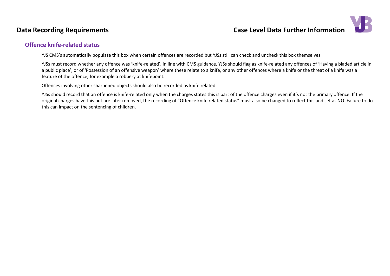## **Data Recording Requirements Case Level Data Further Information**



### <span id="page-48-0"></span>**Offence knife-related status**

YJS CMS's automatically populate this box when certain offences are recorded but YJSs still can check and uncheck this box themselves.

YJSs must record whether any offence was 'knife-related', in line with CMS guidance. YJSs should flag as knife-related any offences of 'Having a bladed article in a public place', or of 'Possession of an offensive weapon' where these relate to a knife, or any other offences where a knife or the threat of a knife was a feature of the offence, for example a robbery at knifepoint.

Offences involving other sharpened objects should also be recorded as knife related.

YJSs should record that an offence is knife-related only when the charges states this is part of the offence charges even if it's not the primary offence. If the original charges have this but are later removed, the recording of "Offence knife related status" must also be changed to reflect this and set as NO. Failure to do this can impact on the sentencing of children.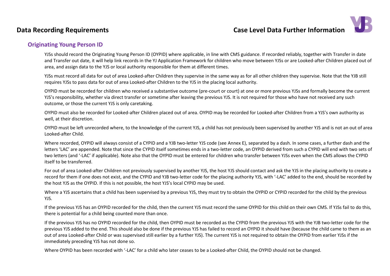

### <span id="page-49-0"></span>**Originating Young Person ID**

YJSs should record the Originating Young Person ID (OYPID) where applicable, in line with CMS guidance. If recorded reliably, together with Transfer in date and Transfer out date, it will help link records in the YJ Application Framework for children who move between YJSs or are Looked-after Children placed out of area, and assign data to the YJS or local authority responsible for them at different times.

YJSs must record all data for out of area Looked-after Children they supervise in the same way as for all other children they supervise. Note that the YJB still requires YJSs to pass data for out of area Looked-after Children to the YJS in the placing local authority.

OYPID must be recorded for children who received a substantive outcome (pre-court or court) at one or more previous YJSs and formally become the current YJS's responsibility, whether via direct transfer or sometime after leaving the previous YJS. It is not required for those who have not received any such outcome, or those the current YJS is only caretaking.

OYPID must also be recorded for Looked-after Children placed out of area. OYPID may be recorded for Looked-after Children from a YJS's own authority as well, at their discretion.

OYPID must be left unrecorded where, to the knowledge of the current YJS, a child has not previously been supervised by another YJS and is not an out of area Looked-after Child.

Where recorded, OYPID will always consist of a CYPID and a YJB two-letter YJS code (see Annex E), separated by a dash. In some cases, a further dash and the letters 'LAC' are appended. Note that since the CYPID itself sometimes ends in a two-letter code, an OYPID derived from such a CYPID will end with two sets of two letters (and '-LAC' if applicable). Note also that the OYPID must be entered for children who transfer between YJSs even when the CMS allows the CYPID itself to be transferred.

For out of area Looked-after Children not previously supervised by another YJS, the host YJS should contact and ask the YJS in the placing authority to create a record for them if one does not exist, and the CYPID and YJB two-letter code for the placing authority YJS, with '-LAC' added to the end, should be recorded by the host YJS as the OYPID. If this is not possible, the host YJS's local CYPID may be used.

Where a YJS ascertains that a child has been supervised by a previous YJS, they must try to obtain the OYPID or CYPID recorded for the child by the previous YJS.

If the previous YJS has an OYPID recorded for the child, then the current YJS must record the same OYPID for this child on their own CMS. If YJSs fail to do this, there is potential for a child being counted more than once.

If the previous YJS has no OYPID recorded for the child, then OYPID must be recorded as the CYPID from the previous YJS with the YJB two-letter code for the previous YJS added to the end. This should also be done if the previous YJS has failed to record an OYPID it should have (because the child came to them as an out of area Looked-after Child or was supervised still earlier by a further YJS). The current YJS is not required to obtain the OYPID from earlier YJSs if the immediately preceding YJS has not done so.

Where OYPID has been recorded with '-LAC' for a child who later ceases to be a Looked-after Child, the OYPID should not be changed.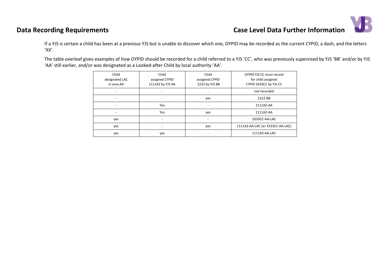# **Data Recording Requirements Case Level Data Further Information**



If a YJS is certain a child has been at a previous YJS but is unable to discover which one, OYPID may be recorded as the current CYPID, a dash, and the letters 'XX'.

The table overleaf gives examples of how OYPID should be recorded for a child referred to a YJS 'CC', who was previously supervised by YJS 'BB' and/or by YJS 'AA' still earlier, and/or was designated as a Looked-after Child by local authority 'AA'.

| Child<br>designated LAC<br>in area AA | Child<br>assigned CYPID<br>1111AZ by YJS AA | Child<br>assigned CYPID<br>2222 by YJS BB | OYPID YJS CC must record<br>for child assigned<br>CYPID 3333CC by YJS CC |
|---------------------------------------|---------------------------------------------|-------------------------------------------|--------------------------------------------------------------------------|
| -                                     |                                             | -                                         | not recorded                                                             |
| -                                     |                                             | yes                                       | 2222-BB                                                                  |
| -                                     | Yes                                         |                                           | 1111AZ-AA                                                                |
|                                       | Yes                                         | yes                                       | 1111AZ-AA                                                                |
| yes                                   |                                             |                                           | 3333CC-AA-LAC                                                            |
| yes                                   |                                             | yes                                       | 1111AZ-AA-LAC (or 3333CC-AA-LAC)                                         |
| yes                                   | yes                                         |                                           | 1111AZ-AA-LAC                                                            |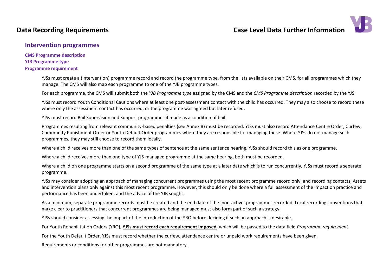

### <span id="page-51-0"></span>**Intervention programmes**

**CMS Programme description YJB Programme type Programme requirement**

> YJSs must create a (intervention) programme record and record the programme type, from the lists available on their CMS, for all programmes which they manage. The CMS will also map each programme to one of the YJB programme types.

For each programme, the CMS will submit both the *YJB Programme type* assigned by the CMS and the *CMS Programme description* recorded by the YJS.

YJSs must record Youth Conditional Cautions where at least one post-assessment contact with the child has occurred. They may also choose to record these where only the assessment contact has occurred, or the programme was agreed but later refused.

YJSs must record Bail Supervision and Support programmes if made as a condition of bail.

Programmes resulting from relevant community-based penalties (see Annex B) must be recorded. YJSs must also record Attendance Centre Order, Curfew, Community Punishment Order or Youth Default Order programmes where they are responsible for managing these. Where YJSs do not manage such programmes, they may still choose to record them locally.

Where a child receives more than one of the same types of sentence at the same sentence hearing, YJSs should record this as one programme.

Where a child receives more than one type of YJS-managed programme at the same hearing, both must be recorded.

Where a child on one programme starts on a second programme of the same type at a later date which is to run concurrently, YJSs must record a separate programme.

YJSs may consider adopting an approach of managing concurrent programmes using the most recent programme record only, and recording contacts, Assets and intervention plans only against this most recent programme. However, this should only be done where a full assessment of the impact on practice and performance has been undertaken, and the advice of the YJB sought.

As a minimum, separate programme records must be created and the end date of the 'non-active' programmes recorded. Local recording conventions that make clear to practitioners that concurrent programmes are being managed must also form part of such a strategy.

YJSs should consider assessing the impact of the introduction of the YRO before deciding if such an approach is desirable.

For Youth Rehabilitation Orders (YRO), **YJSs must record each requirement imposed**, which will be passed to the data field *Programme requirement*.

For the Youth Default Order, YJSs must record whether the curfew, attendance centre or unpaid work requirements have been given.

Requirements or conditions for other programmes are not mandatory.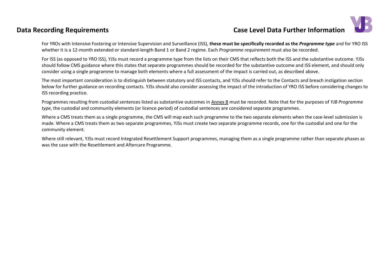## **Data Recording Requirements Case Level Data Further Information**

For YROs with Intensive Fostering or Intensive Supervision and Surveillance (ISS), **these must be specifically recorded as the** *Programme type* and for YRO ISS whether it is a 12-month extended or standard-length Band 1 or Band 2 regime. Each *Programme requirement* must also be recorded.

For ISS (as opposed to YRO ISS), YJSs must record a programme type from the lists on their CMS that reflects both the ISS and the substantive outcome. YJSs should follow CMS guidance where this states that separate programmes should be recorded for the substantive outcome and ISS element, and should only consider using a single programme to manage both elements where a full assessment of the impact is carried out, as described above.

The most important consideration is to distinguish between statutory and ISS contacts, and YJSs should refer to the Contacts and breach instigation section below for further guidance on recording contacts. YJSs should also consider assessing the impact of the introduction of YRO ISS before considering changes to ISS recording practice.

Programmes resulting from custodial sentences listed as substantive outcomes in Annex B must be recorded. Note that for the purposes of *YJB Programme type*, the custodial and community elements (or licence period) of custodial sentences are considered separate programmes.

Where a CMS treats them as a single programme, the CMS will map each such programme to the two separate elements when the case-level submission is made. Where a CMS treats them as two separate programmes, YJSs must create two separate programme records, one for the custodial and one for the community element.

Where still relevant, YJSs must record Integrated Resettlement Support programmes, managing them as a single programme rather than separate phases as was the case with the Resettlement and Aftercare Programme.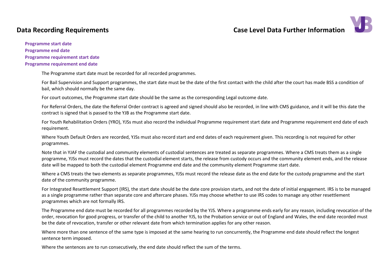

#### <span id="page-53-0"></span>**Programme start date**

**Programme end date Programme requirement start date Programme requirement end date**

The Programme start date must be recorded for all recorded programmes.

For Bail Supervision and Support programmes, the start date must be the date of the first contact with the child after the court has made BSS a condition of bail, which should normally be the same day.

For court outcomes, the Programme start date should be the same as the corresponding Legal outcome date.

For Referral Orders, the date the Referral Order contract is agreed and signed should also be recorded, in line with CMS guidance, and it will be this date the contract is signed that is passed to the YJB as the Programme start date.

For Youth Rehabilitation Orders (YRO), YJSs must also record the individual Programme requirement start date and Programme requirement end date of each requirement.

Where Youth Default Orders are recorded, YJSs must also record start and end dates of each requirement given. This recording is not required for other programmes.

Note that in YJAF the custodial and community elements of custodial sentences are treated as separate programmes. Where a CMS treats them as a single programme, YJSs must record the dates that the custodial element starts, the release from custody occurs and the community element ends, and the release date will be mapped to both the custodial element Programme end date and the community element Programme start date.

Where a CMS treats the two elements as separate programmes, YJSs must record the release date as the end date for the custody programme and the start date of the community programme.

For Integrated Resettlement Support (IRS), the start date should be the date core provision starts, and not the date of initial engagement. IRS is to be managed as a single programme rather than separate core and aftercare phases. YJSs may choose whether to use IRS codes to manage any other resettlement programmes which are not formally IRS.

The Programme end date must be recorded for all programmes recorded by the YJS. Where a programme ends early for any reason, including revocation of the order, revocation for good progress, or transfer of the child to another YJS, to the Probation service or out of England and Wales, the end date recorded must be the date of revocation, transfer or other relevant date from which termination applies for any other reason.

Where more than one sentence of the same type is imposed at the same hearing to run concurrently, the Programme end date should reflect the longest sentence term imposed.

Where the sentences are to run consecutively, the end date should reflect the sum of the terms.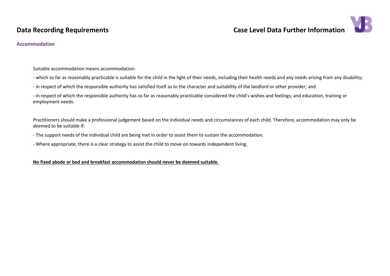

### <span id="page-54-0"></span>**Accommodation**

Suitable accommodation means accommodation:

- which so far as reasonably practicable is suitable for the child in the light of their needs, including their health needs and any needs arising from any disability;

- in respect of which the responsible authority has satisfied itself as to the character and suitability of the landlord or other provider; and

- in respect of which the responsible authority has so far as reasonably practicable considered the child's wishes and feelings; and education, training or employment needs.

Practitioners should make a professional judgement based on the individual needs and circumstances of each child. Therefore, accommodation may only be deemed to be suitable if:

- The support needs of the individual child are being met in order to assist them to sustain the accommodation.

- Where appropriate, there is a clear strategy to assist the child to move on towards independent living.

**No fixed abode or bed and breakfast accommodation should never be deemed suitable.**